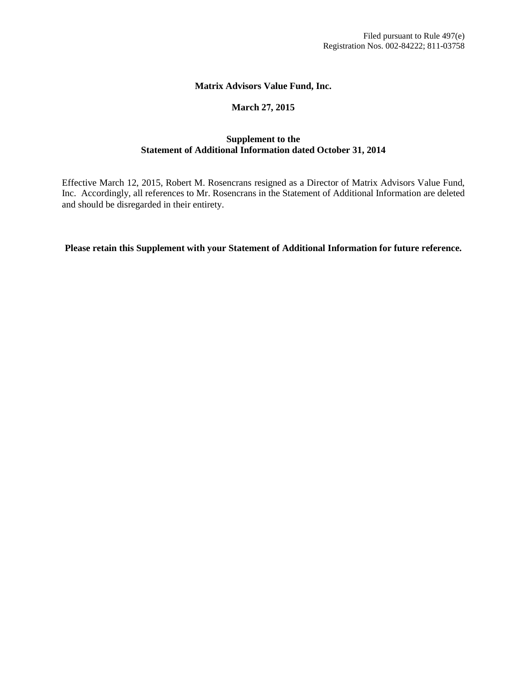#### **Matrix Advisors Value Fund, Inc.**

#### **March 27, 2015**

#### **Supplement to the Statement of Additional Information dated October 31, 2014**

Effective March 12, 2015, Robert M. Rosencrans resigned as a Director of Matrix Advisors Value Fund, Inc. Accordingly, all references to Mr. Rosencrans in the Statement of Additional Information are deleted and should be disregarded in their entirety.

**Please retain this Supplement with your Statement of Additional Information for future reference.**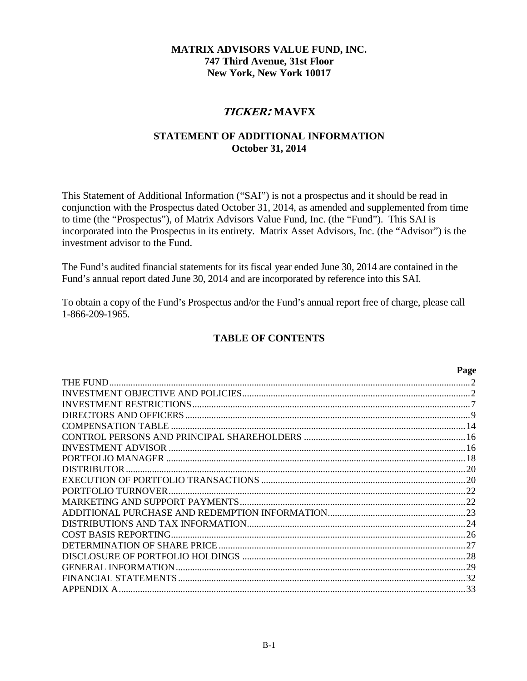## **MATRIX ADVISORS VALUE FUND, INC. 747 Third Avenue, 31st Floor New York, New York 10017**

# **TICKER: MAVFX**

## **STATEMENT OF ADDITIONAL INFORMATION October 31, 2014**

This Statement of Additional Information ("SAI") is not a prospectus and it should be read in conjunction with the Prospectus dated October 31, 2014, as amended and supplemented from time to time (the "Prospectus"), of Matrix Advisors Value Fund, Inc. (the "Fund"). This SAI is incorporated into the Prospectus in its entirety. Matrix Asset Advisors, Inc. (the "Advisor") is the investment advisor to the Fund.

The Fund's audited financial statements for its fiscal year ended June 30, 2014 are contained in the Fund's annual report dated June 30, 2014 and are incorporated by reference into this SAI.

To obtain a copy of the Fund's Prospectus and/or the Fund's annual report free of charge, please call 1-866-209-1965.

## **TABLE OF CONTENTS**

|                           | Page |
|---------------------------|------|
|                           |      |
|                           |      |
|                           |      |
|                           |      |
|                           |      |
|                           |      |
| <b>INVESTMENT ADVISOR</b> |      |
|                           |      |
|                           |      |
|                           |      |
|                           |      |
|                           |      |
|                           |      |
|                           |      |
|                           |      |
|                           |      |
|                           |      |
|                           |      |
| FINANCIAL STATEMENTS      |      |
| APPENDIX A                | 33   |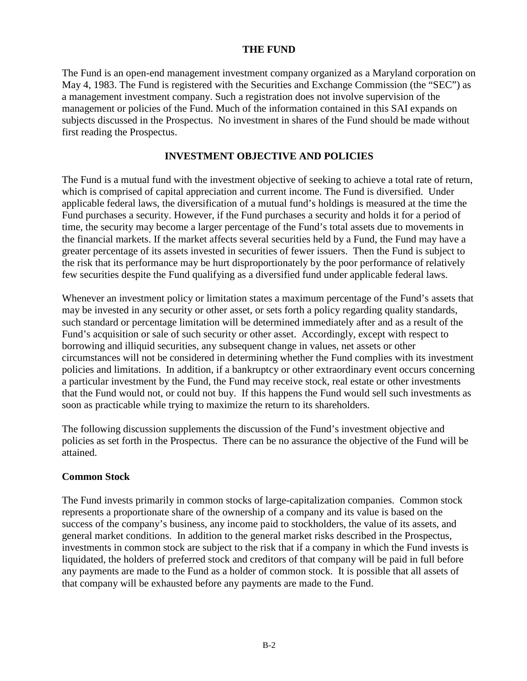#### **THE FUND**

<span id="page-2-0"></span>The Fund is an open-end management investment company organized as a Maryland corporation on May 4, 1983. The Fund is registered with the Securities and Exchange Commission (the "SEC") as a management investment company. Such a registration does not involve supervision of the management or policies of the Fund. Much of the information contained in this SAI expands on subjects discussed in the Prospectus. No investment in shares of the Fund should be made without first reading the Prospectus.

## **INVESTMENT OBJECTIVE AND POLICIES**

<span id="page-2-1"></span>The Fund is a mutual fund with the investment objective of seeking to achieve a total rate of return, which is comprised of capital appreciation and current income. The Fund is diversified. Under applicable federal laws, the diversification of a mutual fund's holdings is measured at the time the Fund purchases a security. However, if the Fund purchases a security and holds it for a period of time, the security may become a larger percentage of the Fund's total assets due to movements in the financial markets. If the market affects several securities held by a Fund, the Fund may have a greater percentage of its assets invested in securities of fewer issuers. Then the Fund is subject to the risk that its performance may be hurt disproportionately by the poor performance of relatively few securities despite the Fund qualifying as a diversified fund under applicable federal laws.

Whenever an investment policy or limitation states a maximum percentage of the Fund's assets that may be invested in any security or other asset, or sets forth a policy regarding quality standards, such standard or percentage limitation will be determined immediately after and as a result of the Fund's acquisition or sale of such security or other asset. Accordingly, except with respect to borrowing and illiquid securities, any subsequent change in values, net assets or other circumstances will not be considered in determining whether the Fund complies with its investment policies and limitations. In addition, if a bankruptcy or other extraordinary event occurs concerning a particular investment by the Fund, the Fund may receive stock, real estate or other investments that the Fund would not, or could not buy. If this happens the Fund would sell such investments as soon as practicable while trying to maximize the return to its shareholders.

The following discussion supplements the discussion of the Fund's investment objective and policies as set forth in the Prospectus. There can be no assurance the objective of the Fund will be attained.

#### **Common Stock**

The Fund invests primarily in common stocks of large-capitalization companies. Common stock represents a proportionate share of the ownership of a company and its value is based on the success of the company's business, any income paid to stockholders, the value of its assets, and general market conditions. In addition to the general market risks described in the Prospectus, investments in common stock are subject to the risk that if a company in which the Fund invests is liquidated, the holders of preferred stock and creditors of that company will be paid in full before any payments are made to the Fund as a holder of common stock. It is possible that all assets of that company will be exhausted before any payments are made to the Fund.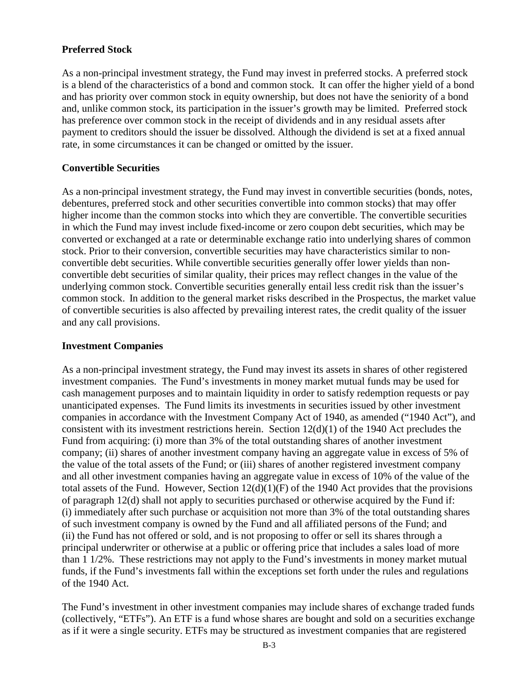# **Preferred Stock**

As a non-principal investment strategy, the Fund may invest in preferred stocks. A preferred stock is a blend of the characteristics of a bond and common stock. It can offer the higher yield of a bond and has priority over common stock in equity ownership, but does not have the seniority of a bond and, unlike common stock, its participation in the issuer's growth may be limited. Preferred stock has preference over common stock in the receipt of dividends and in any residual assets after payment to creditors should the issuer be dissolved. Although the dividend is set at a fixed annual rate, in some circumstances it can be changed or omitted by the issuer.

## **Convertible Securities**

As a non-principal investment strategy, the Fund may invest in convertible securities (bonds, notes, debentures, preferred stock and other securities convertible into common stocks) that may offer higher income than the common stocks into which they are convertible. The convertible securities in which the Fund may invest include fixed-income or zero coupon debt securities, which may be converted or exchanged at a rate or determinable exchange ratio into underlying shares of common stock. Prior to their conversion, convertible securities may have characteristics similar to nonconvertible debt securities. While convertible securities generally offer lower yields than nonconvertible debt securities of similar quality, their prices may reflect changes in the value of the underlying common stock. Convertible securities generally entail less credit risk than the issuer's common stock. In addition to the general market risks described in the Prospectus, the market value of convertible securities is also affected by prevailing interest rates, the credit quality of the issuer and any call provisions.

#### **Investment Companies**

As a non-principal investment strategy, the Fund may invest its assets in shares of other registered investment companies. The Fund's investments in money market mutual funds may be used for cash management purposes and to maintain liquidity in order to satisfy redemption requests or pay unanticipated expenses. The Fund limits its investments in securities issued by other investment companies in accordance with the Investment Company Act of 1940, as amended ("1940 Act"), and consistent with its investment restrictions herein. Section 12(d)(1) of the 1940 Act precludes the Fund from acquiring: (i) more than 3% of the total outstanding shares of another investment company; (ii) shares of another investment company having an aggregate value in excess of 5% of the value of the total assets of the Fund; or (iii) shares of another registered investment company and all other investment companies having an aggregate value in excess of 10% of the value of the total assets of the Fund. However, Section  $12(d)(1)(F)$  of the 1940 Act provides that the provisions of paragraph 12(d) shall not apply to securities purchased or otherwise acquired by the Fund if: (i) immediately after such purchase or acquisition not more than 3% of the total outstanding shares of such investment company is owned by the Fund and all affiliated persons of the Fund; and (ii) the Fund has not offered or sold, and is not proposing to offer or sell its shares through a principal underwriter or otherwise at a public or offering price that includes a sales load of more than 1 1/2%. These restrictions may not apply to the Fund's investments in money market mutual funds, if the Fund's investments fall within the exceptions set forth under the rules and regulations of the 1940 Act.

The Fund's investment in other investment companies may include shares of exchange traded funds (collectively, "ETFs"). An ETF is a fund whose shares are bought and sold on a securities exchange as if it were a single security. ETFs may be structured as investment companies that are registered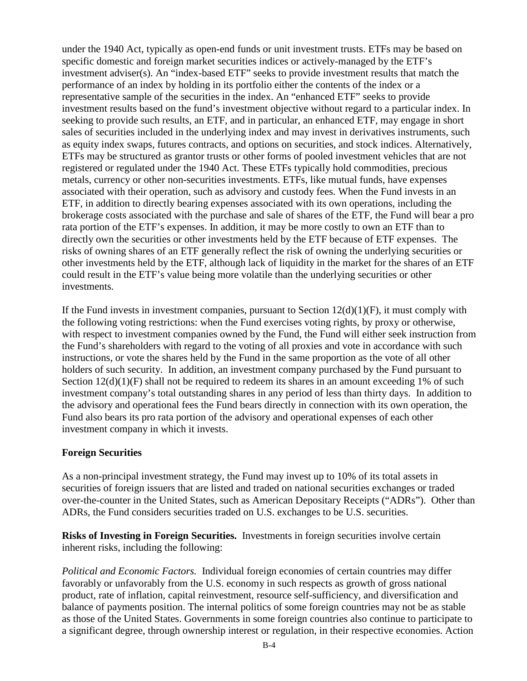under the 1940 Act, typically as open-end funds or unit investment trusts. ETFs may be based on specific domestic and foreign market securities indices or actively-managed by the ETF's investment adviser(s). An "index-based ETF" seeks to provide investment results that match the performance of an index by holding in its portfolio either the contents of the index or a representative sample of the securities in the index. An "enhanced ETF" seeks to provide investment results based on the fund's investment objective without regard to a particular index. In seeking to provide such results, an ETF, and in particular, an enhanced ETF, may engage in short sales of securities included in the underlying index and may invest in derivatives instruments, such as equity index swaps, futures contracts, and options on securities, and stock indices. Alternatively, ETFs may be structured as grantor trusts or other forms of pooled investment vehicles that are not registered or regulated under the 1940 Act. These ETFs typically hold commodities, precious metals, currency or other non-securities investments. ETFs, like mutual funds, have expenses associated with their operation, such as advisory and custody fees. When the Fund invests in an ETF, in addition to directly bearing expenses associated with its own operations, including the brokerage costs associated with the purchase and sale of shares of the ETF, the Fund will bear a pro rata portion of the ETF's expenses. In addition, it may be more costly to own an ETF than to directly own the securities or other investments held by the ETF because of ETF expenses. The risks of owning shares of an ETF generally reflect the risk of owning the underlying securities or other investments held by the ETF, although lack of liquidity in the market for the shares of an ETF could result in the ETF's value being more volatile than the underlying securities or other investments.

If the Fund invests in investment companies, pursuant to Section  $12(d)(1)(F)$ , it must comply with the following voting restrictions: when the Fund exercises voting rights, by proxy or otherwise, with respect to investment companies owned by the Fund, the Fund will either seek instruction from the Fund's shareholders with regard to the voting of all proxies and vote in accordance with such instructions, or vote the shares held by the Fund in the same proportion as the vote of all other holders of such security. In addition, an investment company purchased by the Fund pursuant to Section  $12(d)(1)(F)$  shall not be required to redeem its shares in an amount exceeding 1% of such investment company's total outstanding shares in any period of less than thirty days. In addition to the advisory and operational fees the Fund bears directly in connection with its own operation, the Fund also bears its pro rata portion of the advisory and operational expenses of each other investment company in which it invests.

#### **Foreign Securities**

As a non-principal investment strategy, the Fund may invest up to 10% of its total assets in securities of foreign issuers that are listed and traded on national securities exchanges or traded over-the-counter in the United States, such as American Depositary Receipts ("ADRs"). Other than ADRs, the Fund considers securities traded on U.S. exchanges to be U.S. securities.

**Risks of Investing in Foreign Securities.** Investments in foreign securities involve certain inherent risks, including the following:

*Political and Economic Factors.* Individual foreign economies of certain countries may differ favorably or unfavorably from the U.S. economy in such respects as growth of gross national product, rate of inflation, capital reinvestment, resource self-sufficiency, and diversification and balance of payments position. The internal politics of some foreign countries may not be as stable as those of the United States. Governments in some foreign countries also continue to participate to a significant degree, through ownership interest or regulation, in their respective economies. Action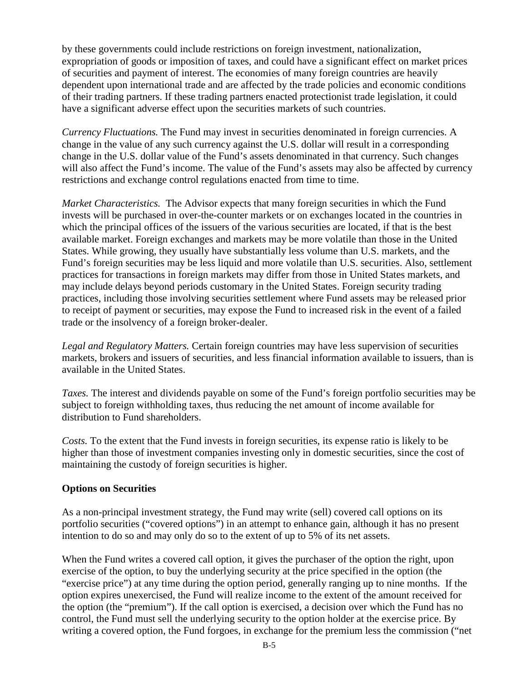by these governments could include restrictions on foreign investment, nationalization, expropriation of goods or imposition of taxes, and could have a significant effect on market prices of securities and payment of interest. The economies of many foreign countries are heavily dependent upon international trade and are affected by the trade policies and economic conditions of their trading partners. If these trading partners enacted protectionist trade legislation, it could have a significant adverse effect upon the securities markets of such countries.

*Currency Fluctuations.* The Fund may invest in securities denominated in foreign currencies. A change in the value of any such currency against the U.S. dollar will result in a corresponding change in the U.S. dollar value of the Fund's assets denominated in that currency. Such changes will also affect the Fund's income. The value of the Fund's assets may also be affected by currency restrictions and exchange control regulations enacted from time to time.

*Market Characteristics.* The Advisor expects that many foreign securities in which the Fund invests will be purchased in over-the-counter markets or on exchanges located in the countries in which the principal offices of the issuers of the various securities are located, if that is the best available market. Foreign exchanges and markets may be more volatile than those in the United States. While growing, they usually have substantially less volume than U.S. markets, and the Fund's foreign securities may be less liquid and more volatile than U.S. securities. Also, settlement practices for transactions in foreign markets may differ from those in United States markets, and may include delays beyond periods customary in the United States. Foreign security trading practices, including those involving securities settlement where Fund assets may be released prior to receipt of payment or securities, may expose the Fund to increased risk in the event of a failed trade or the insolvency of a foreign broker-dealer.

*Legal and Regulatory Matters.* Certain foreign countries may have less supervision of securities markets, brokers and issuers of securities, and less financial information available to issuers, than is available in the United States.

*Taxes.* The interest and dividends payable on some of the Fund's foreign portfolio securities may be subject to foreign withholding taxes, thus reducing the net amount of income available for distribution to Fund shareholders.

*Costs.* To the extent that the Fund invests in foreign securities, its expense ratio is likely to be higher than those of investment companies investing only in domestic securities, since the cost of maintaining the custody of foreign securities is higher.

## **Options on Securities**

As a non-principal investment strategy, the Fund may write (sell) covered call options on its portfolio securities ("covered options") in an attempt to enhance gain, although it has no present intention to do so and may only do so to the extent of up to 5% of its net assets.

When the Fund writes a covered call option, it gives the purchaser of the option the right, upon exercise of the option, to buy the underlying security at the price specified in the option (the "exercise price") at any time during the option period, generally ranging up to nine months. If the option expires unexercised, the Fund will realize income to the extent of the amount received for the option (the "premium"). If the call option is exercised, a decision over which the Fund has no control, the Fund must sell the underlying security to the option holder at the exercise price. By writing a covered option, the Fund forgoes, in exchange for the premium less the commission ("net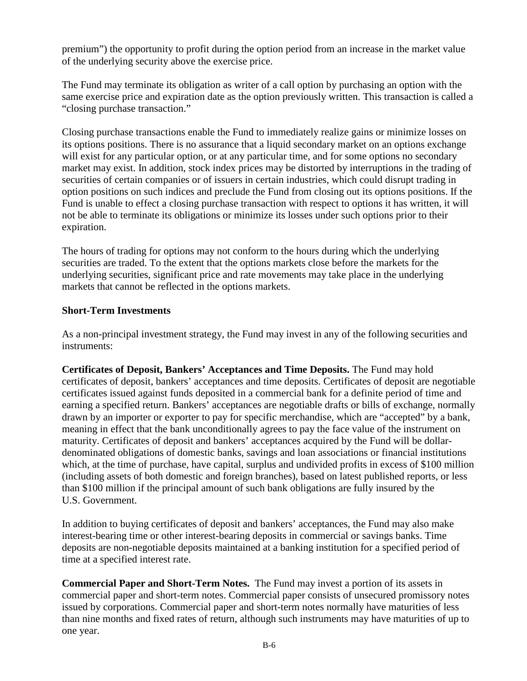premium") the opportunity to profit during the option period from an increase in the market value of the underlying security above the exercise price.

The Fund may terminate its obligation as writer of a call option by purchasing an option with the same exercise price and expiration date as the option previously written. This transaction is called a "closing purchase transaction."

Closing purchase transactions enable the Fund to immediately realize gains or minimize losses on its options positions. There is no assurance that a liquid secondary market on an options exchange will exist for any particular option, or at any particular time, and for some options no secondary market may exist. In addition, stock index prices may be distorted by interruptions in the trading of securities of certain companies or of issuers in certain industries, which could disrupt trading in option positions on such indices and preclude the Fund from closing out its options positions. If the Fund is unable to effect a closing purchase transaction with respect to options it has written, it will not be able to terminate its obligations or minimize its losses under such options prior to their expiration.

The hours of trading for options may not conform to the hours during which the underlying securities are traded. To the extent that the options markets close before the markets for the underlying securities, significant price and rate movements may take place in the underlying markets that cannot be reflected in the options markets.

## **Short-Term Investments**

As a non-principal investment strategy, the Fund may invest in any of the following securities and instruments:

**Certificates of Deposit, Bankers' Acceptances and Time Deposits.** The Fund may hold certificates of deposit, bankers' acceptances and time deposits. Certificates of deposit are negotiable certificates issued against funds deposited in a commercial bank for a definite period of time and earning a specified return. Bankers' acceptances are negotiable drafts or bills of exchange, normally drawn by an importer or exporter to pay for specific merchandise, which are "accepted" by a bank, meaning in effect that the bank unconditionally agrees to pay the face value of the instrument on maturity. Certificates of deposit and bankers' acceptances acquired by the Fund will be dollardenominated obligations of domestic banks, savings and loan associations or financial institutions which, at the time of purchase, have capital, surplus and undivided profits in excess of \$100 million (including assets of both domestic and foreign branches), based on latest published reports, or less than \$100 million if the principal amount of such bank obligations are fully insured by the U.S. Government.

In addition to buying certificates of deposit and bankers' acceptances, the Fund may also make interest-bearing time or other interest-bearing deposits in commercial or savings banks. Time deposits are non-negotiable deposits maintained at a banking institution for a specified period of time at a specified interest rate.

**Commercial Paper and Short-Term Notes.** The Fund may invest a portion of its assets in commercial paper and short-term notes. Commercial paper consists of unsecured promissory notes issued by corporations. Commercial paper and short-term notes normally have maturities of less than nine months and fixed rates of return, although such instruments may have maturities of up to one year.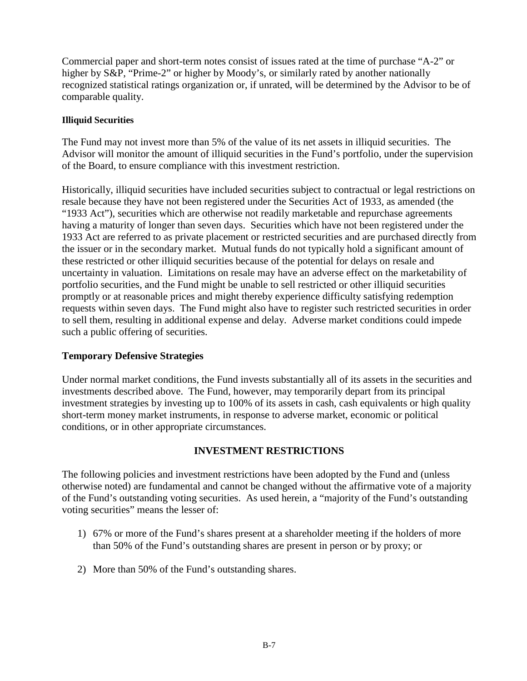Commercial paper and short-term notes consist of issues rated at the time of purchase "A-2" or higher by S&P, "Prime-2" or higher by Moody's, or similarly rated by another nationally recognized statistical ratings organization or, if unrated, will be determined by the Advisor to be of comparable quality.

#### **Illiquid Securities**

The Fund may not invest more than 5% of the value of its net assets in illiquid securities. The Advisor will monitor the amount of illiquid securities in the Fund's portfolio, under the supervision of the Board, to ensure compliance with this investment restriction.

Historically, illiquid securities have included securities subject to contractual or legal restrictions on resale because they have not been registered under the Securities Act of 1933, as amended (the "1933 Act"), securities which are otherwise not readily marketable and repurchase agreements having a maturity of longer than seven days. Securities which have not been registered under the 1933 Act are referred to as private placement or restricted securities and are purchased directly from the issuer or in the secondary market. Mutual funds do not typically hold a significant amount of these restricted or other illiquid securities because of the potential for delays on resale and uncertainty in valuation. Limitations on resale may have an adverse effect on the marketability of portfolio securities, and the Fund might be unable to sell restricted or other illiquid securities promptly or at reasonable prices and might thereby experience difficulty satisfying redemption requests within seven days. The Fund might also have to register such restricted securities in order to sell them, resulting in additional expense and delay. Adverse market conditions could impede such a public offering of securities.

## **Temporary Defensive Strategies**

Under normal market conditions, the Fund invests substantially all of its assets in the securities and investments described above. The Fund, however, may temporarily depart from its principal investment strategies by investing up to 100% of its assets in cash, cash equivalents or high quality short-term money market instruments, in response to adverse market, economic or political conditions, or in other appropriate circumstances.

# **INVESTMENT RESTRICTIONS**

<span id="page-7-0"></span>The following policies and investment restrictions have been adopted by the Fund and (unless otherwise noted) are fundamental and cannot be changed without the affirmative vote of a majority of the Fund's outstanding voting securities. As used herein, a "majority of the Fund's outstanding voting securities" means the lesser of:

- 1) 67% or more of the Fund's shares present at a shareholder meeting if the holders of more than 50% of the Fund's outstanding shares are present in person or by proxy; or
- 2) More than 50% of the Fund's outstanding shares.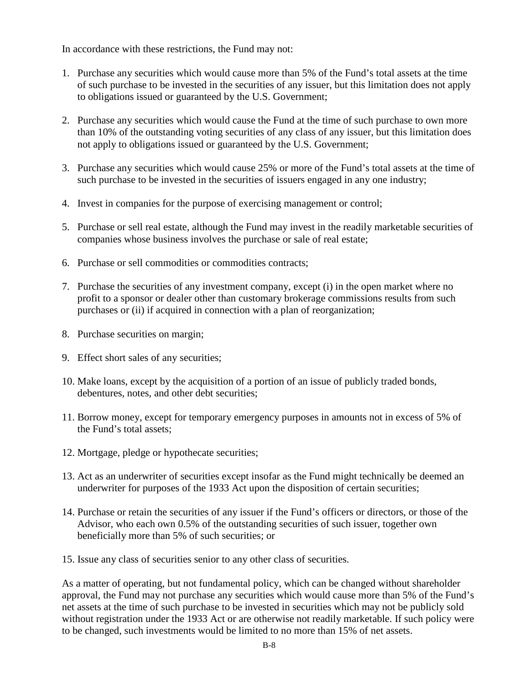In accordance with these restrictions, the Fund may not:

- 1. Purchase any securities which would cause more than 5% of the Fund's total assets at the time of such purchase to be invested in the securities of any issuer, but this limitation does not apply to obligations issued or guaranteed by the U.S. Government;
- 2. Purchase any securities which would cause the Fund at the time of such purchase to own more than 10% of the outstanding voting securities of any class of any issuer, but this limitation does not apply to obligations issued or guaranteed by the U.S. Government;
- 3. Purchase any securities which would cause 25% or more of the Fund's total assets at the time of such purchase to be invested in the securities of issuers engaged in any one industry;
- 4. Invest in companies for the purpose of exercising management or control;
- 5. Purchase or sell real estate, although the Fund may invest in the readily marketable securities of companies whose business involves the purchase or sale of real estate;
- 6. Purchase or sell commodities or commodities contracts;
- 7. Purchase the securities of any investment company, except (i) in the open market where no profit to a sponsor or dealer other than customary brokerage commissions results from such purchases or (ii) if acquired in connection with a plan of reorganization;
- 8. Purchase securities on margin;
- 9. Effect short sales of any securities;
- 10. Make loans, except by the acquisition of a portion of an issue of publicly traded bonds, debentures, notes, and other debt securities;
- 11. Borrow money, except for temporary emergency purposes in amounts not in excess of 5% of the Fund's total assets;
- 12. Mortgage, pledge or hypothecate securities;
- 13. Act as an underwriter of securities except insofar as the Fund might technically be deemed an underwriter for purposes of the 1933 Act upon the disposition of certain securities;
- 14. Purchase or retain the securities of any issuer if the Fund's officers or directors, or those of the Advisor, who each own 0.5% of the outstanding securities of such issuer, together own beneficially more than 5% of such securities; or
- 15. Issue any class of securities senior to any other class of securities.

As a matter of operating, but not fundamental policy, which can be changed without shareholder approval, the Fund may not purchase any securities which would cause more than 5% of the Fund's net assets at the time of such purchase to be invested in securities which may not be publicly sold without registration under the 1933 Act or are otherwise not readily marketable. If such policy were to be changed, such investments would be limited to no more than 15% of net assets.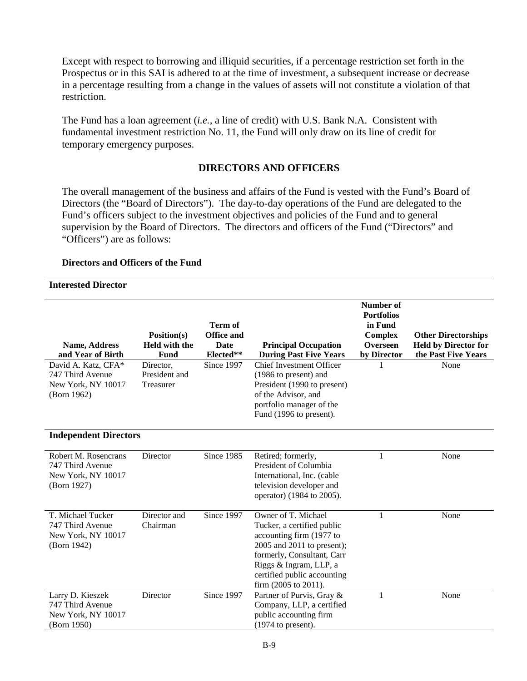Except with respect to borrowing and illiquid securities, if a percentage restriction set forth in the Prospectus or in this SAI is adhered to at the time of investment, a subsequent increase or decrease in a percentage resulting from a change in the values of assets will not constitute a violation of that restriction.

The Fund has a loan agreement (*i.e.*, a line of credit) with U.S. Bank N.A. Consistent with fundamental investment restriction No. 11, the Fund will only draw on its line of credit for temporary emergency purposes.

## **DIRECTORS AND OFFICERS**

<span id="page-9-0"></span>The overall management of the business and affairs of the Fund is vested with the Fund's Board of Directors (the "Board of Directors"). The day-to-day operations of the Fund are delegated to the Fund's officers subject to the investment objectives and policies of the Fund and to general supervision by the Board of Directors. The directors and officers of the Fund ("Directors" and "Officers") are as follows:

#### **Directors and Officers of the Fund**

#### **Interested Director**

| Name, Address<br>and Year of Birth                                            | Position(s)<br><b>Held with the</b><br>Fund | <b>Term of</b><br><b>Office and</b><br>Date<br>Elected** | <b>Principal Occupation</b><br><b>During Past Five Years</b>                                                                                                                                                                           | <b>Number</b> of<br><b>Portfolios</b><br>in Fund<br><b>Complex</b><br><b>Overseen</b><br>by Director | <b>Other Directorships</b><br><b>Held by Director for</b><br>the Past Five Years |
|-------------------------------------------------------------------------------|---------------------------------------------|----------------------------------------------------------|----------------------------------------------------------------------------------------------------------------------------------------------------------------------------------------------------------------------------------------|------------------------------------------------------------------------------------------------------|----------------------------------------------------------------------------------|
| David A. Katz, CFA*<br>747 Third Avenue<br>New York, NY 10017<br>(Born 1962)  | Director,<br>President and<br>Treasurer     | Since 1997                                               | <b>Chief Investment Officer</b><br>(1986 to present) and<br>President (1990 to present)<br>of the Advisor, and<br>portfolio manager of the<br>Fund (1996 to present).                                                                  |                                                                                                      | None                                                                             |
| <b>Independent Directors</b>                                                  |                                             |                                                          |                                                                                                                                                                                                                                        |                                                                                                      |                                                                                  |
| Robert M. Rosencrans<br>747 Third Avenue<br>New York, NY 10017<br>(Born 1927) | Director                                    | Since 1985                                               | Retired; formerly,<br>President of Columbia<br>International, Inc. (cable<br>television developer and<br>operator) (1984 to 2005).                                                                                                     | 1                                                                                                    | None                                                                             |
| T. Michael Tucker<br>747 Third Avenue<br>New York, NY 10017<br>(Born 1942)    | Director and<br>Chairman                    | Since 1997                                               | Owner of T. Michael<br>Tucker, a certified public<br>accounting firm (1977 to<br>2005 and 2011 to present);<br>formerly, Consultant, Carr<br>Riggs & Ingram, LLP, a<br>certified public accounting<br>firm $(2005 \text{ to } 2011)$ . | 1                                                                                                    | None                                                                             |
| Larry D. Kieszek<br>747 Third Avenue<br>New York, NY 10017<br>(Born 1950)     | Director                                    | Since 1997                                               | Partner of Purvis, Gray &<br>Company, LLP, a certified<br>public accounting firm<br>$(1974$ to present).                                                                                                                               | 1                                                                                                    | None                                                                             |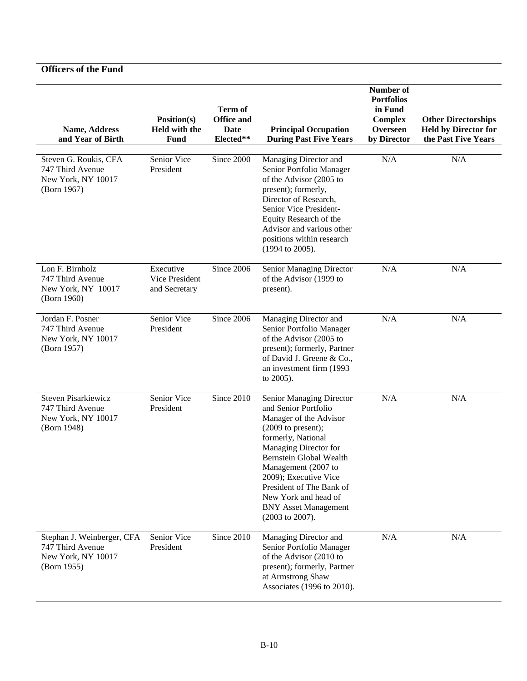| Name, Address<br>and Year of Birth                                                            | Position(s)<br>Held with the<br><b>Fund</b>  | Term of<br><b>Office and</b><br><b>Date</b><br>Elected** | <b>Principal Occupation</b><br><b>During Past Five Years</b>                                                                                                                                                                                                                                                                              | Number of<br><b>Portfolios</b><br>in Fund<br><b>Complex</b><br>Overseen<br>by Director | <b>Other Directorships</b><br><b>Held by Director for</b><br>the Past Five Years |
|-----------------------------------------------------------------------------------------------|----------------------------------------------|----------------------------------------------------------|-------------------------------------------------------------------------------------------------------------------------------------------------------------------------------------------------------------------------------------------------------------------------------------------------------------------------------------------|----------------------------------------------------------------------------------------|----------------------------------------------------------------------------------|
| Steven G. Roukis, CFA<br>747 Third Avenue<br>New York, NY 10017<br>(Born 1967)                | Senior Vice<br>President                     | Since 2000                                               | Managing Director and<br>Senior Portfolio Manager<br>of the Advisor (2005 to<br>present); formerly,<br>Director of Research,<br>Senior Vice President-<br>Equity Research of the<br>Advisor and various other<br>positions within research<br>(1994 to 2005).                                                                             | N/A                                                                                    | N/A                                                                              |
| $\overline{\text{L}}$ on F. Birnholz<br>747 Third Avenue<br>New York, NY 10017<br>(Born 1960) | Executive<br>Vice President<br>and Secretary | Since 2006                                               | Senior Managing Director<br>of the Advisor (1999 to<br>present).                                                                                                                                                                                                                                                                          | N/A                                                                                    | N/A                                                                              |
| Jordan F. Posner<br>747 Third Avenue<br>New York, NY 10017<br>(Born 1957)                     | Senior Vice<br>President                     | Since 2006                                               | Managing Director and<br>Senior Portfolio Manager<br>of the Advisor (2005 to<br>present); formerly, Partner<br>of David J. Greene & Co.,<br>an investment firm (1993<br>to 2005).                                                                                                                                                         | N/A                                                                                    | N/A                                                                              |
| <b>Steven Pisarkiewicz</b><br>747 Third Avenue<br>New York, NY 10017<br>(Born 1948)           | Senior Vice<br>President                     | Since 2010                                               | Senior Managing Director<br>and Senior Portfolio<br>Manager of the Advisor<br>$(2009$ to present);<br>formerly, National<br>Managing Director for<br><b>Bernstein Global Wealth</b><br>Management (2007 to<br>2009); Executive Vice<br>President of The Bank of<br>New York and head of<br><b>BNY Asset Management</b><br>(2003 to 2007). | N/A                                                                                    | N/A                                                                              |
| Stephan J. Weinberger, CFA<br>747 Third Avenue<br>New York, NY 10017<br>(Born 1955)           | Senior Vice<br>President                     | Since 2010                                               | Managing Director and<br>Senior Portfolio Manager<br>of the Advisor (2010 to<br>present); formerly, Partner<br>at Armstrong Shaw<br>Associates (1996 to 2010).                                                                                                                                                                            | N/A                                                                                    | N/A                                                                              |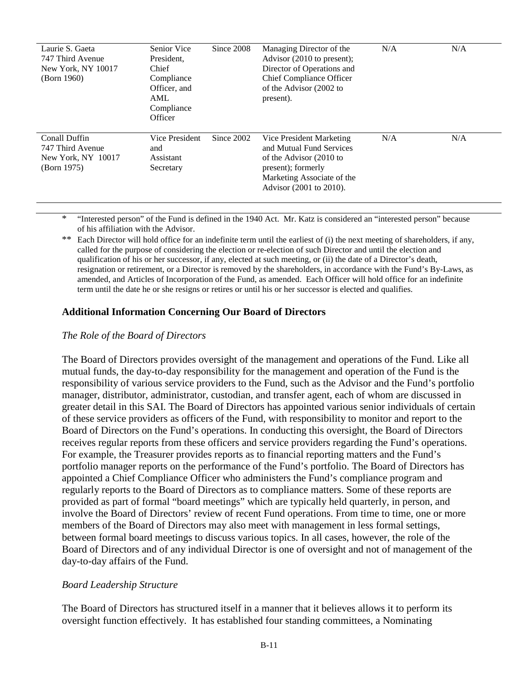| Laurie S. Gaeta<br>747 Third Avenue<br>New York, NY 10017<br>(Born 1960) | Senior Vice<br>President,<br>Chief<br>Compliance<br>Officer, and<br><b>AML</b><br>Compliance<br>Officer | Since 2008 | Managing Director of the<br>Advisor (2010 to present);<br>Director of Operations and<br><b>Chief Compliance Officer</b><br>of the Advisor (2002 to<br>present). | N/A | N/A |
|--------------------------------------------------------------------------|---------------------------------------------------------------------------------------------------------|------------|-----------------------------------------------------------------------------------------------------------------------------------------------------------------|-----|-----|
| Conall Duffin<br>747 Third Avenue<br>New York, NY 10017<br>(Born 1975)   | Vice President<br>and<br>Assistant<br>Secretary                                                         | Since 2002 | Vice President Marketing<br>and Mutual Fund Services<br>of the Advisor (2010 to<br>present); formerly<br>Marketing Associate of the<br>Advisor (2001 to 2010).  | N/A | N/A |

\* "Interested person" of the Fund is defined in the 1940 Act. Mr. Katz is considered an "interested person" because of his affiliation with the Advisor.

\*\* Each Director will hold office for an indefinite term until the earliest of (i) the next meeting of shareholders, if any, called for the purpose of considering the election or re-election of such Director and until the election and qualification of his or her successor, if any, elected at such meeting, or (ii) the date of a Director's death, resignation or retirement, or a Director is removed by the shareholders, in accordance with the Fund's By-Laws, as amended, and Articles of Incorporation of the Fund, as amended. Each Officer will hold office for an indefinite term until the date he or she resigns or retires or until his or her successor is elected and qualifies.

#### **Additional Information Concerning Our Board of Directors**

#### *The Role of the Board of Directors*

The Board of Directors provides oversight of the management and operations of the Fund. Like all mutual funds, the day-to-day responsibility for the management and operation of the Fund is the responsibility of various service providers to the Fund, such as the Advisor and the Fund's portfolio manager, distributor, administrator, custodian, and transfer agent, each of whom are discussed in greater detail in this SAI. The Board of Directors has appointed various senior individuals of certain of these service providers as officers of the Fund, with responsibility to monitor and report to the Board of Directors on the Fund's operations. In conducting this oversight, the Board of Directors receives regular reports from these officers and service providers regarding the Fund's operations. For example, the Treasurer provides reports as to financial reporting matters and the Fund's portfolio manager reports on the performance of the Fund's portfolio. The Board of Directors has appointed a Chief Compliance Officer who administers the Fund's compliance program and regularly reports to the Board of Directors as to compliance matters. Some of these reports are provided as part of formal "board meetings" which are typically held quarterly, in person, and involve the Board of Directors' review of recent Fund operations. From time to time, one or more members of the Board of Directors may also meet with management in less formal settings, between formal board meetings to discuss various topics. In all cases, however, the role of the Board of Directors and of any individual Director is one of oversight and not of management of the day-to-day affairs of the Fund.

#### *Board Leadership Structure*

The Board of Directors has structured itself in a manner that it believes allows it to perform its oversight function effectively. It has established four standing committees, a Nominating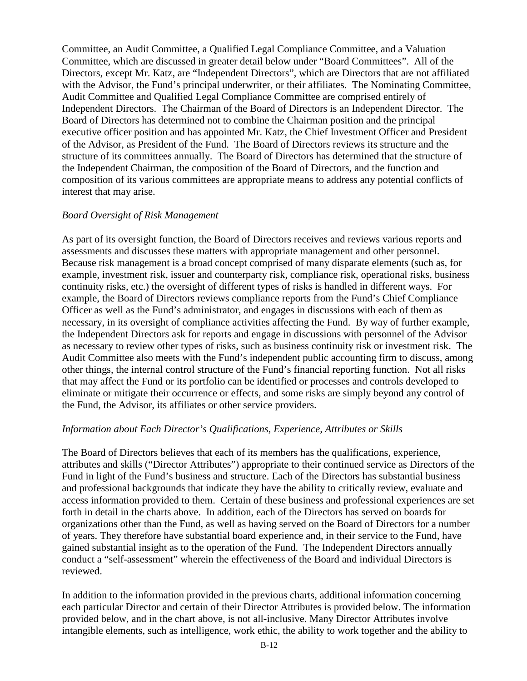Committee, an Audit Committee, a Qualified Legal Compliance Committee, and a Valuation Committee, which are discussed in greater detail below under "Board Committees". All of the Directors, except Mr. Katz, are "Independent Directors", which are Directors that are not affiliated with the Advisor, the Fund's principal underwriter, or their affiliates. The Nominating Committee, Audit Committee and Qualified Legal Compliance Committee are comprised entirely of Independent Directors. The Chairman of the Board of Directors is an Independent Director. The Board of Directors has determined not to combine the Chairman position and the principal executive officer position and has appointed Mr. Katz, the Chief Investment Officer and President of the Advisor, as President of the Fund. The Board of Directors reviews its structure and the structure of its committees annually. The Board of Directors has determined that the structure of the Independent Chairman, the composition of the Board of Directors, and the function and composition of its various committees are appropriate means to address any potential conflicts of interest that may arise.

#### *Board Oversight of Risk Management*

As part of its oversight function, the Board of Directors receives and reviews various reports and assessments and discusses these matters with appropriate management and other personnel. Because risk management is a broad concept comprised of many disparate elements (such as, for example, investment risk, issuer and counterparty risk, compliance risk, operational risks, business continuity risks, etc.) the oversight of different types of risks is handled in different ways. For example, the Board of Directors reviews compliance reports from the Fund's Chief Compliance Officer as well as the Fund's administrator, and engages in discussions with each of them as necessary, in its oversight of compliance activities affecting the Fund. By way of further example, the Independent Directors ask for reports and engage in discussions with personnel of the Advisor as necessary to review other types of risks, such as business continuity risk or investment risk. The Audit Committee also meets with the Fund's independent public accounting firm to discuss, among other things, the internal control structure of the Fund's financial reporting function. Not all risks that may affect the Fund or its portfolio can be identified or processes and controls developed to eliminate or mitigate their occurrence or effects, and some risks are simply beyond any control of the Fund, the Advisor, its affiliates or other service providers.

## *Information about Each Director's Qualifications, Experience, Attributes or Skills*

The Board of Directors believes that each of its members has the qualifications, experience, attributes and skills ("Director Attributes") appropriate to their continued service as Directors of the Fund in light of the Fund's business and structure. Each of the Directors has substantial business and professional backgrounds that indicate they have the ability to critically review, evaluate and access information provided to them. Certain of these business and professional experiences are set forth in detail in the charts above. In addition, each of the Directors has served on boards for organizations other than the Fund, as well as having served on the Board of Directors for a number of years. They therefore have substantial board experience and, in their service to the Fund, have gained substantial insight as to the operation of the Fund. The Independent Directors annually conduct a "self-assessment" wherein the effectiveness of the Board and individual Directors is reviewed.

In addition to the information provided in the previous charts, additional information concerning each particular Director and certain of their Director Attributes is provided below. The information provided below, and in the chart above, is not all-inclusive. Many Director Attributes involve intangible elements, such as intelligence, work ethic, the ability to work together and the ability to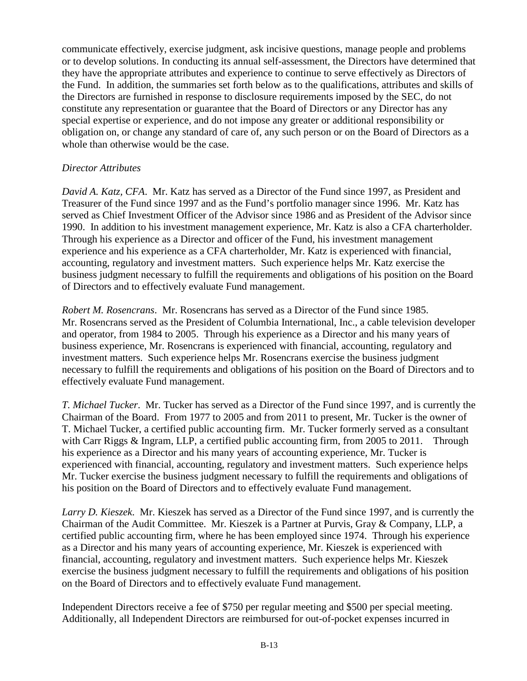communicate effectively, exercise judgment, ask incisive questions, manage people and problems or to develop solutions. In conducting its annual self-assessment, the Directors have determined that they have the appropriate attributes and experience to continue to serve effectively as Directors of the Fund. In addition, the summaries set forth below as to the qualifications, attributes and skills of the Directors are furnished in response to disclosure requirements imposed by the SEC, do not constitute any representation or guarantee that the Board of Directors or any Director has any special expertise or experience, and do not impose any greater or additional responsibility or obligation on, or change any standard of care of, any such person or on the Board of Directors as a whole than otherwise would be the case.

## *Director Attributes*

*David A. Katz, CFA*. Mr. Katz has served as a Director of the Fund since 1997, as President and Treasurer of the Fund since 1997 and as the Fund's portfolio manager since 1996. Mr. Katz has served as Chief Investment Officer of the Advisor since 1986 and as President of the Advisor since 1990. In addition to his investment management experience, Mr. Katz is also a CFA charterholder. Through his experience as a Director and officer of the Fund, his investment management experience and his experience as a CFA charterholder, Mr. Katz is experienced with financial, accounting, regulatory and investment matters. Such experience helps Mr. Katz exercise the business judgment necessary to fulfill the requirements and obligations of his position on the Board of Directors and to effectively evaluate Fund management.

*Robert M. Rosencrans*. Mr. Rosencrans has served as a Director of the Fund since 1985. Mr. Rosencrans served as the President of Columbia International, Inc., a cable television developer and operator, from 1984 to 2005. Through his experience as a Director and his many years of business experience, Mr. Rosencrans is experienced with financial, accounting, regulatory and investment matters. Such experience helps Mr. Rosencrans exercise the business judgment necessary to fulfill the requirements and obligations of his position on the Board of Directors and to effectively evaluate Fund management.

*T. Michael Tucker*. Mr. Tucker has served as a Director of the Fund since 1997, and is currently the Chairman of the Board. From 1977 to 2005 and from 2011 to present, Mr. Tucker is the owner of T. Michael Tucker, a certified public accounting firm. Mr. Tucker formerly served as a consultant with Carr Riggs & Ingram, LLP, a certified public accounting firm, from 2005 to 2011. Through his experience as a Director and his many years of accounting experience, Mr. Tucker is experienced with financial, accounting, regulatory and investment matters. Such experience helps Mr. Tucker exercise the business judgment necessary to fulfill the requirements and obligations of his position on the Board of Directors and to effectively evaluate Fund management.

*Larry D. Kieszek*. Mr. Kieszek has served as a Director of the Fund since 1997, and is currently the Chairman of the Audit Committee. Mr. Kieszek is a Partner at Purvis, Gray & Company, LLP, a certified public accounting firm, where he has been employed since 1974. Through his experience as a Director and his many years of accounting experience, Mr. Kieszek is experienced with financial, accounting, regulatory and investment matters. Such experience helps Mr. Kieszek exercise the business judgment necessary to fulfill the requirements and obligations of his position on the Board of Directors and to effectively evaluate Fund management.

Independent Directors receive a fee of \$750 per regular meeting and \$500 per special meeting. Additionally, all Independent Directors are reimbursed for out-of-pocket expenses incurred in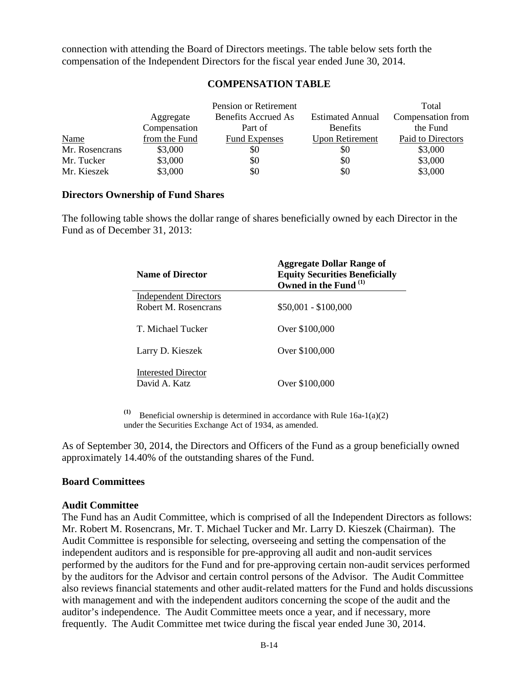connection with attending the Board of Directors meetings. The table below sets forth the compensation of the Independent Directors for the fiscal year ended June 30, 2014.

#### **COMPENSATION TABLE**

<span id="page-14-0"></span>

|                |               | Pension or Retirement |                         | Total             |
|----------------|---------------|-----------------------|-------------------------|-------------------|
|                | Aggregate     | Benefits Accrued As   | <b>Estimated Annual</b> | Compensation from |
|                | Compensation  | Part of               | <b>Benefits</b>         | the Fund          |
| <b>Name</b>    | from the Fund | <b>Fund Expenses</b>  | <b>Upon Retirement</b>  | Paid to Directors |
| Mr. Rosencrans | \$3,000       | \$0                   | \$0                     | \$3,000           |
| Mr. Tucker     | \$3,000       | \$0                   | \$0                     | \$3,000           |
| Mr. Kieszek    | \$3,000       | \$0                   | \$0                     | \$3,000           |

#### **Directors Ownership of Fund Shares**

The following table shows the dollar range of shares beneficially owned by each Director in the Fund as of December 31, 2013:

| <b>Name of Director</b>                     | <b>Aggregate Dollar Range of</b><br><b>Equity Securities Beneficially</b><br>Owned in the Fund (1) |
|---------------------------------------------|----------------------------------------------------------------------------------------------------|
| <b>Independent Directors</b>                |                                                                                                    |
| Robert M. Rosencrans                        | $$50,001 - $100,000$                                                                               |
| T. Michael Tucker                           | Over \$100,000                                                                                     |
| Larry D. Kieszek                            | Over \$100,000                                                                                     |
| <b>Interested Director</b><br>David A. Katz | Over \$100,000                                                                                     |

(1) Beneficial ownership is determined in accordance with Rule  $16a-1(a)(2)$ under the Securities Exchange Act of 1934, as amended.

As of September 30, 2014, the Directors and Officers of the Fund as a group beneficially owned approximately 14.40% of the outstanding shares of the Fund.

#### **Board Committees**

#### **Audit Committee**

The Fund has an Audit Committee, which is comprised of all the Independent Directors as follows: Mr. Robert M. Rosencrans, Mr. T. Michael Tucker and Mr. Larry D. Kieszek (Chairman). The Audit Committee is responsible for selecting, overseeing and setting the compensation of the independent auditors and is responsible for pre-approving all audit and non-audit services performed by the auditors for the Fund and for pre-approving certain non-audit services performed by the auditors for the Advisor and certain control persons of the Advisor. The Audit Committee also reviews financial statements and other audit-related matters for the Fund and holds discussions with management and with the independent auditors concerning the scope of the audit and the auditor's independence. The Audit Committee meets once a year, and if necessary, more frequently. The Audit Committee met twice during the fiscal year ended June 30, 2014.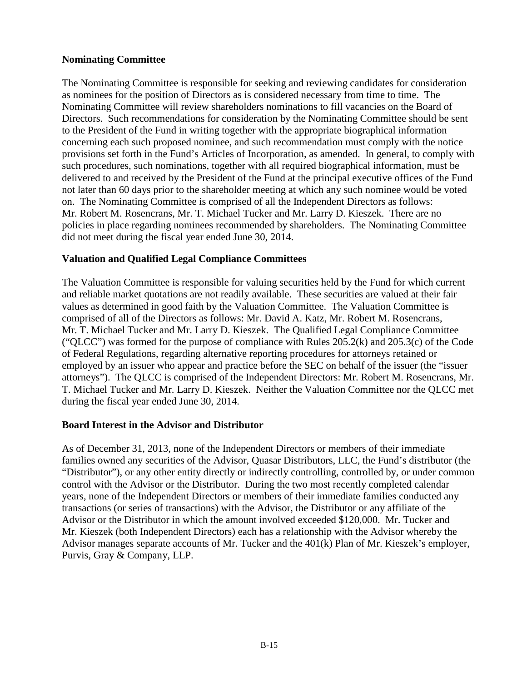#### **Nominating Committee**

The Nominating Committee is responsible for seeking and reviewing candidates for consideration as nominees for the position of Directors as is considered necessary from time to time. The Nominating Committee will review shareholders nominations to fill vacancies on the Board of Directors. Such recommendations for consideration by the Nominating Committee should be sent to the President of the Fund in writing together with the appropriate biographical information concerning each such proposed nominee, and such recommendation must comply with the notice provisions set forth in the Fund's Articles of Incorporation, as amended. In general, to comply with such procedures, such nominations, together with all required biographical information, must be delivered to and received by the President of the Fund at the principal executive offices of the Fund not later than 60 days prior to the shareholder meeting at which any such nominee would be voted on. The Nominating Committee is comprised of all the Independent Directors as follows: Mr. Robert M. Rosencrans, Mr. T. Michael Tucker and Mr. Larry D. Kieszek. There are no policies in place regarding nominees recommended by shareholders. The Nominating Committee did not meet during the fiscal year ended June 30, 2014.

## **Valuation and Qualified Legal Compliance Committees**

The Valuation Committee is responsible for valuing securities held by the Fund for which current and reliable market quotations are not readily available. These securities are valued at their fair values as determined in good faith by the Valuation Committee. The Valuation Committee is comprised of all of the Directors as follows: Mr. David A. Katz, Mr. Robert M. Rosencrans, Mr. T. Michael Tucker and Mr. Larry D. Kieszek. The Qualified Legal Compliance Committee ("OLCC") was formed for the purpose of compliance with Rules  $205.2(k)$  and  $205.3(c)$  of the Code of Federal Regulations, regarding alternative reporting procedures for attorneys retained or employed by an issuer who appear and practice before the SEC on behalf of the issuer (the "issuer attorneys"). The QLCC is comprised of the Independent Directors: Mr. Robert M. Rosencrans, Mr. T. Michael Tucker and Mr. Larry D. Kieszek. Neither the Valuation Committee nor the QLCC met during the fiscal year ended June 30, 2014.

#### **Board Interest in the Advisor and Distributor**

<span id="page-15-0"></span>As of December 31, 2013, none of the Independent Directors or members of their immediate families owned any securities of the Advisor, Quasar Distributors, LLC, the Fund's distributor (the "Distributor"), or any other entity directly or indirectly controlling, controlled by, or under common control with the Advisor or the Distributor. During the two most recently completed calendar years, none of the Independent Directors or members of their immediate families conducted any transactions (or series of transactions) with the Advisor, the Distributor or any affiliate of the Advisor or the Distributor in which the amount involved exceeded \$120,000. Mr. Tucker and Mr. Kieszek (both Independent Directors) each has a relationship with the Advisor whereby the Advisor manages separate accounts of Mr. Tucker and the 401(k) Plan of Mr. Kieszek's employer, Purvis, Gray & Company, LLP.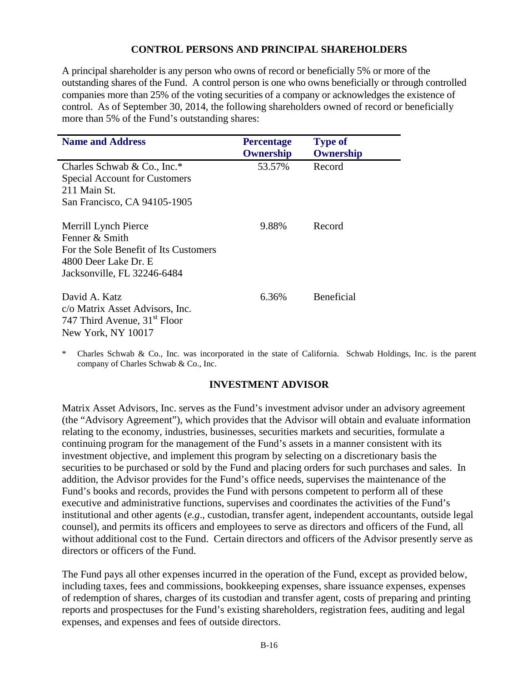#### **CONTROL PERSONS AND PRINCIPAL SHAREHOLDERS**

A principal shareholder is any person who owns of record or beneficially 5% or more of the outstanding shares of the Fund. A control person is one who owns beneficially or through controlled companies more than 25% of the voting securities of a company or acknowledges the existence of control. As of September 30, 2014, the following shareholders owned of record or beneficially more than 5% of the Fund's outstanding shares:

| <b>Name and Address</b>                                                                                                                | <b>Percentage</b><br>Ownership | <b>Type of</b><br>Ownership |
|----------------------------------------------------------------------------------------------------------------------------------------|--------------------------------|-----------------------------|
| Charles Schwab & Co., Inc.*<br><b>Special Account for Customers</b><br>211 Main St.<br>San Francisco, CA 94105-1905                    | 53.57%                         | Record                      |
| Merrill Lynch Pierce<br>Fenner & Smith<br>For the Sole Benefit of Its Customers<br>4800 Deer Lake Dr. E<br>Jacksonville, FL 32246-6484 | 9.88%                          | Record                      |
| David A. Katz<br>c/o Matrix Asset Advisors, Inc.<br>747 Third Avenue, 31 <sup>st</sup> Floor<br>New York, NY 10017                     | 6.36%                          | <b>Beneficial</b>           |

Charles Schwab & Co., Inc. was incorporated in the state of California. Schwab Holdings, Inc. is the parent company of Charles Schwab & Co., Inc.

#### **INVESTMENT ADVISOR**

<span id="page-16-0"></span>Matrix Asset Advisors, Inc. serves as the Fund's investment advisor under an advisory agreement (the "Advisory Agreement"), which provides that the Advisor will obtain and evaluate information relating to the economy, industries, businesses, securities markets and securities, formulate a continuing program for the management of the Fund's assets in a manner consistent with its investment objective, and implement this program by selecting on a discretionary basis the securities to be purchased or sold by the Fund and placing orders for such purchases and sales. In addition, the Advisor provides for the Fund's office needs, supervises the maintenance of the Fund's books and records, provides the Fund with persons competent to perform all of these executive and administrative functions, supervises and coordinates the activities of the Fund's institutional and other agents (*e.g*., custodian, transfer agent, independent accountants, outside legal counsel), and permits its officers and employees to serve as directors and officers of the Fund, all without additional cost to the Fund. Certain directors and officers of the Advisor presently serve as directors or officers of the Fund.

The Fund pays all other expenses incurred in the operation of the Fund, except as provided below, including taxes, fees and commissions, bookkeeping expenses, share issuance expenses, expenses of redemption of shares, charges of its custodian and transfer agent, costs of preparing and printing reports and prospectuses for the Fund's existing shareholders, registration fees, auditing and legal expenses, and expenses and fees of outside directors.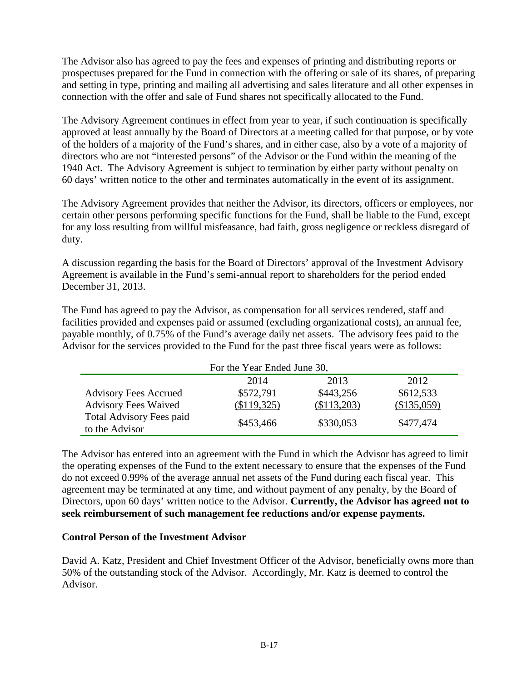The Advisor also has agreed to pay the fees and expenses of printing and distributing reports or prospectuses prepared for the Fund in connection with the offering or sale of its shares, of preparing and setting in type, printing and mailing all advertising and sales literature and all other expenses in connection with the offer and sale of Fund shares not specifically allocated to the Fund.

The Advisory Agreement continues in effect from year to year, if such continuation is specifically approved at least annually by the Board of Directors at a meeting called for that purpose, or by vote of the holders of a majority of the Fund's shares, and in either case, also by a vote of a majority of directors who are not "interested persons" of the Advisor or the Fund within the meaning of the 1940 Act. The Advisory Agreement is subject to termination by either party without penalty on 60 days' written notice to the other and terminates automatically in the event of its assignment.

The Advisory Agreement provides that neither the Advisor, its directors, officers or employees, nor certain other persons performing specific functions for the Fund, shall be liable to the Fund, except for any loss resulting from willful misfeasance, bad faith, gross negligence or reckless disregard of duty.

A discussion regarding the basis for the Board of Directors' approval of the Investment Advisory Agreement is available in the Fund's semi-annual report to shareholders for the period ended December 31, 2013.

The Fund has agreed to pay the Advisor, as compensation for all services rendered, staff and facilities provided and expenses paid or assumed (excluding organizational costs), an annual fee, payable monthly, of 0.75% of the Fund's average daily net assets. The advisory fees paid to the Advisor for the services provided to the Fund for the past three fiscal years were as follows:

| For the Year Ended June 30,                       |             |             |             |
|---------------------------------------------------|-------------|-------------|-------------|
|                                                   | 2014        | 2013        | 2012        |
| <b>Advisory Fees Accrued</b>                      | \$572,791   | \$443,256   | \$612,533   |
| <b>Advisory Fees Waived</b>                       | (\$119,325) | (\$113,203) | (\$135,059) |
| <b>Total Advisory Fees paid</b><br>to the Advisor | \$453,466   | \$330,053   | \$477,474   |

The Advisor has entered into an agreement with the Fund in which the Advisor has agreed to limit the operating expenses of the Fund to the extent necessary to ensure that the expenses of the Fund do not exceed 0.99% of the average annual net assets of the Fund during each fiscal year. This agreement may be terminated at any time, and without payment of any penalty, by the Board of Directors, upon 60 days' written notice to the Advisor. **Currently, the Advisor has agreed not to seek reimbursement of such management fee reductions and/or expense payments.**

## **Control Person of the Investment Advisor**

David A. Katz, President and Chief Investment Officer of the Advisor, beneficially owns more than 50% of the outstanding stock of the Advisor. Accordingly, Mr. Katz is deemed to control the Advisor.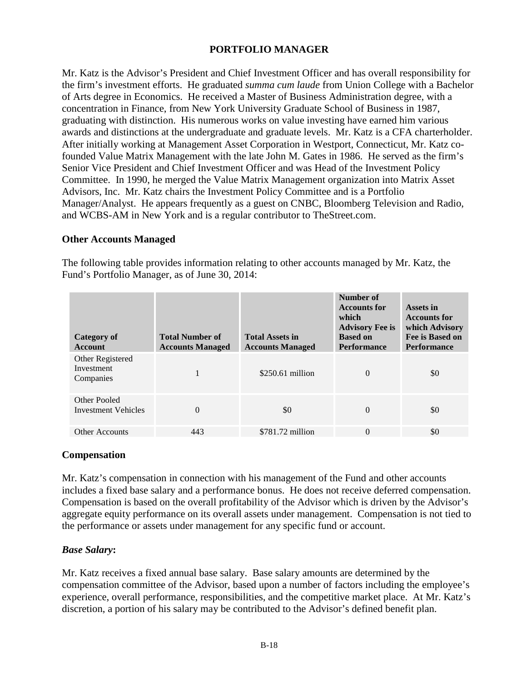## **PORTFOLIO MANAGER**

<span id="page-18-0"></span>Mr. Katz is the Advisor's President and Chief Investment Officer and has overall responsibility for the firm's investment efforts. He graduated *summa cum laude* from Union College with a Bachelor of Arts degree in Economics. He received a Master of Business Administration degree, with a concentration in Finance, from New York University Graduate School of Business in 1987, graduating with distinction. His numerous works on value investing have earned him various awards and distinctions at the undergraduate and graduate levels. Mr. Katz is a CFA charterholder. After initially working at Management Asset Corporation in Westport, Connecticut, Mr. Katz cofounded Value Matrix Management with the late John M. Gates in 1986. He served as the firm's Senior Vice President and Chief Investment Officer and was Head of the Investment Policy Committee. In 1990, he merged the Value Matrix Management organization into Matrix Asset Advisors, Inc. Mr. Katz chairs the Investment Policy Committee and is a Portfolio Manager/Analyst. He appears frequently as a guest on CNBC, Bloomberg Television and Radio, and WCBS-AM in New York and is a regular contributor to TheStreet.com.

#### **Other Accounts Managed**

The following table provides information relating to other accounts managed by Mr. Katz, the Fund's Portfolio Manager, as of June 30, 2014:

| <b>Category of</b><br><b>Account</b>        | <b>Total Number of</b><br><b>Accounts Managed</b> | <b>Total Assets in</b><br><b>Accounts Managed</b> | Number of<br><b>Accounts for</b><br>which<br><b>Advisory Fee is</b><br><b>Based on</b><br><b>Performance</b> | Assets in<br><b>Accounts for</b><br>which Advisory<br>Fee is Based on<br><b>Performance</b> |
|---------------------------------------------|---------------------------------------------------|---------------------------------------------------|--------------------------------------------------------------------------------------------------------------|---------------------------------------------------------------------------------------------|
| Other Registered<br>Investment<br>Companies |                                                   | $$250.61$ million                                 | $\Omega$                                                                                                     | \$0                                                                                         |
| Other Pooled<br>Investment Vehicles         | $\Omega$                                          | \$0                                               | $\Omega$                                                                                                     | \$0                                                                                         |
| <b>Other Accounts</b>                       | 443                                               | $$781.72$ million                                 | $\Omega$                                                                                                     | \$0                                                                                         |

#### **Compensation**

Mr. Katz's compensation in connection with his management of the Fund and other accounts includes a fixed base salary and a performance bonus. He does not receive deferred compensation. Compensation is based on the overall profitability of the Advisor which is driven by the Advisor's aggregate equity performance on its overall assets under management. Compensation is not tied to the performance or assets under management for any specific fund or account.

#### *Base Salary***:**

Mr. Katz receives a fixed annual base salary. Base salary amounts are determined by the compensation committee of the Advisor, based upon a number of factors including the employee's experience, overall performance, responsibilities, and the competitive market place. At Mr. Katz's discretion, a portion of his salary may be contributed to the Advisor's defined benefit plan.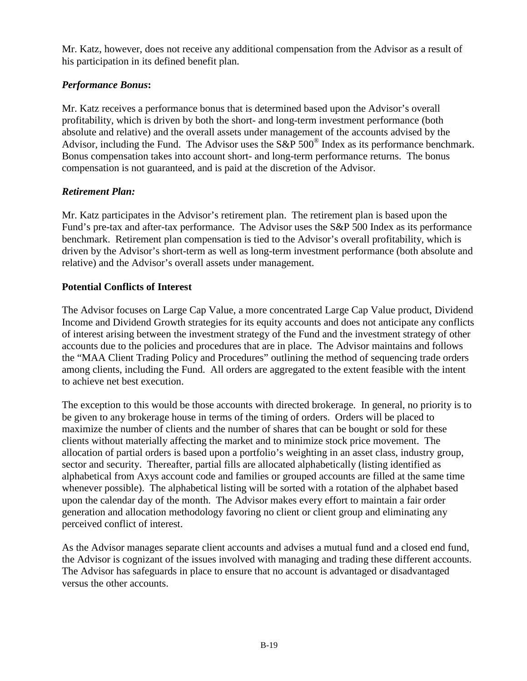Mr. Katz, however, does not receive any additional compensation from the Advisor as a result of his participation in its defined benefit plan.

# *Performance Bonus***:**

Mr. Katz receives a performance bonus that is determined based upon the Advisor's overall profitability, which is driven by both the short- and long-term investment performance (both absolute and relative) and the overall assets under management of the accounts advised by the Advisor, including the Fund. The Advisor uses the  $S\&P 500^{\circ}$  Index as its performance benchmark. Bonus compensation takes into account short- and long-term performance returns. The bonus compensation is not guaranteed, and is paid at the discretion of the Advisor.

## *Retirement Plan:*

Mr. Katz participates in the Advisor's retirement plan. The retirement plan is based upon the Fund's pre-tax and after-tax performance. The Advisor uses the S&P 500 Index as its performance benchmark. Retirement plan compensation is tied to the Advisor's overall profitability, which is driven by the Advisor's short-term as well as long-term investment performance (both absolute and relative) and the Advisor's overall assets under management.

# **Potential Conflicts of Interest**

The Advisor focuses on Large Cap Value, a more concentrated Large Cap Value product, Dividend Income and Dividend Growth strategies for its equity accounts and does not anticipate any conflicts of interest arising between the investment strategy of the Fund and the investment strategy of other accounts due to the policies and procedures that are in place. The Advisor maintains and follows the "MAA Client Trading Policy and Procedures" outlining the method of sequencing trade orders among clients, including the Fund. All orders are aggregated to the extent feasible with the intent to achieve net best execution.

The exception to this would be those accounts with directed brokerage. In general, no priority is to be given to any brokerage house in terms of the timing of orders. Orders will be placed to maximize the number of clients and the number of shares that can be bought or sold for these clients without materially affecting the market and to minimize stock price movement. The allocation of partial orders is based upon a portfolio's weighting in an asset class, industry group, sector and security. Thereafter, partial fills are allocated alphabetically (listing identified as alphabetical from Axys account code and families or grouped accounts are filled at the same time whenever possible). The alphabetical listing will be sorted with a rotation of the alphabet based upon the calendar day of the month. The Advisor makes every effort to maintain a fair order generation and allocation methodology favoring no client or client group and eliminating any perceived conflict of interest.

As the Advisor manages separate client accounts and advises a mutual fund and a closed end fund, the Advisor is cognizant of the issues involved with managing and trading these different accounts. The Advisor has safeguards in place to ensure that no account is advantaged or disadvantaged versus the other accounts.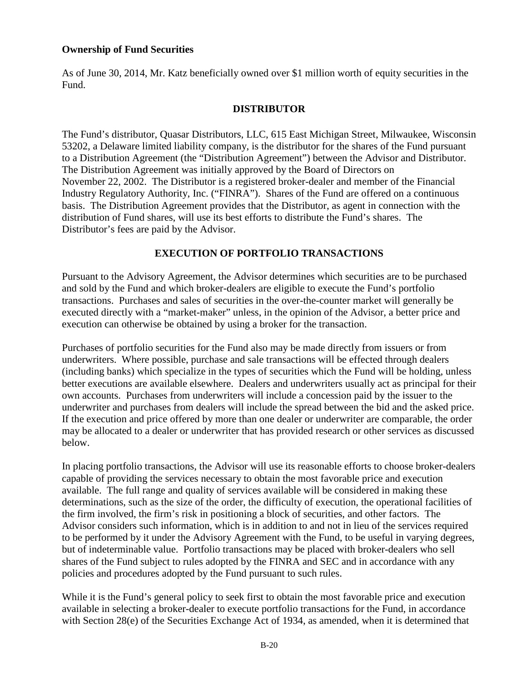#### **Ownership of Fund Securities**

As of June 30, 2014, Mr. Katz beneficially owned over \$1 million worth of equity securities in the Fund.

## **DISTRIBUTOR**

<span id="page-20-0"></span>The Fund's distributor, Quasar Distributors, LLC, 615 East Michigan Street, Milwaukee, Wisconsin 53202, a Delaware limited liability company, is the distributor for the shares of the Fund pursuant to a Distribution Agreement (the "Distribution Agreement") between the Advisor and Distributor. The Distribution Agreement was initially approved by the Board of Directors on November 22, 2002. The Distributor is a registered broker-dealer and member of the Financial Industry Regulatory Authority, Inc. ("FINRA"). Shares of the Fund are offered on a continuous basis. The Distribution Agreement provides that the Distributor, as agent in connection with the distribution of Fund shares, will use its best efforts to distribute the Fund's shares. The Distributor's fees are paid by the Advisor.

## **EXECUTION OF PORTFOLIO TRANSACTIONS**

<span id="page-20-1"></span>Pursuant to the Advisory Agreement, the Advisor determines which securities are to be purchased and sold by the Fund and which broker-dealers are eligible to execute the Fund's portfolio transactions. Purchases and sales of securities in the over-the-counter market will generally be executed directly with a "market-maker" unless, in the opinion of the Advisor, a better price and execution can otherwise be obtained by using a broker for the transaction.

Purchases of portfolio securities for the Fund also may be made directly from issuers or from underwriters. Where possible, purchase and sale transactions will be effected through dealers (including banks) which specialize in the types of securities which the Fund will be holding, unless better executions are available elsewhere. Dealers and underwriters usually act as principal for their own accounts. Purchases from underwriters will include a concession paid by the issuer to the underwriter and purchases from dealers will include the spread between the bid and the asked price. If the execution and price offered by more than one dealer or underwriter are comparable, the order may be allocated to a dealer or underwriter that has provided research or other services as discussed below.

In placing portfolio transactions, the Advisor will use its reasonable efforts to choose broker-dealers capable of providing the services necessary to obtain the most favorable price and execution available. The full range and quality of services available will be considered in making these determinations, such as the size of the order, the difficulty of execution, the operational facilities of the firm involved, the firm's risk in positioning a block of securities, and other factors. The Advisor considers such information, which is in addition to and not in lieu of the services required to be performed by it under the Advisory Agreement with the Fund, to be useful in varying degrees, but of indeterminable value. Portfolio transactions may be placed with broker-dealers who sell shares of the Fund subject to rules adopted by the FINRA and SEC and in accordance with any policies and procedures adopted by the Fund pursuant to such rules.

While it is the Fund's general policy to seek first to obtain the most favorable price and execution available in selecting a broker-dealer to execute portfolio transactions for the Fund, in accordance with Section 28(e) of the Securities Exchange Act of 1934, as amended, when it is determined that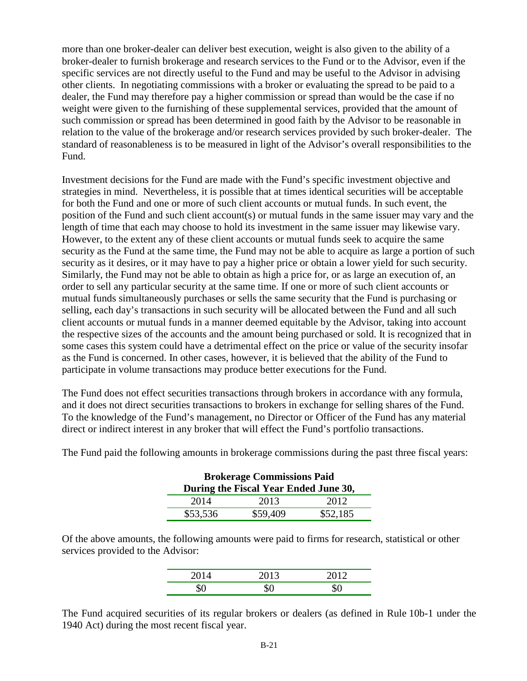more than one broker-dealer can deliver best execution, weight is also given to the ability of a broker-dealer to furnish brokerage and research services to the Fund or to the Advisor, even if the specific services are not directly useful to the Fund and may be useful to the Advisor in advising other clients. In negotiating commissions with a broker or evaluating the spread to be paid to a dealer, the Fund may therefore pay a higher commission or spread than would be the case if no weight were given to the furnishing of these supplemental services, provided that the amount of such commission or spread has been determined in good faith by the Advisor to be reasonable in relation to the value of the brokerage and/or research services provided by such broker-dealer. The standard of reasonableness is to be measured in light of the Advisor's overall responsibilities to the Fund.

Investment decisions for the Fund are made with the Fund's specific investment objective and strategies in mind. Nevertheless, it is possible that at times identical securities will be acceptable for both the Fund and one or more of such client accounts or mutual funds. In such event, the position of the Fund and such client account(s) or mutual funds in the same issuer may vary and the length of time that each may choose to hold its investment in the same issuer may likewise vary. However, to the extent any of these client accounts or mutual funds seek to acquire the same security as the Fund at the same time, the Fund may not be able to acquire as large a portion of such security as it desires, or it may have to pay a higher price or obtain a lower yield for such security. Similarly, the Fund may not be able to obtain as high a price for, or as large an execution of, an order to sell any particular security at the same time. If one or more of such client accounts or mutual funds simultaneously purchases or sells the same security that the Fund is purchasing or selling, each day's transactions in such security will be allocated between the Fund and all such client accounts or mutual funds in a manner deemed equitable by the Advisor, taking into account the respective sizes of the accounts and the amount being purchased or sold. It is recognized that in some cases this system could have a detrimental effect on the price or value of the security insofar as the Fund is concerned. In other cases, however, it is believed that the ability of the Fund to participate in volume transactions may produce better executions for the Fund.

The Fund does not effect securities transactions through brokers in accordance with any formula, and it does not direct securities transactions to brokers in exchange for selling shares of the Fund. To the knowledge of the Fund's management, no Director or Officer of the Fund has any material direct or indirect interest in any broker that will effect the Fund's portfolio transactions.

| <b>Brokerage Commissions Paid</b><br>During the Fiscal Year Ended June 30, |          |          |  |
|----------------------------------------------------------------------------|----------|----------|--|
| 2014                                                                       | 2013     | 2012     |  |
| \$53,536                                                                   | \$59,409 | \$52,185 |  |

The Fund paid the following amounts in brokerage commissions during the past three fiscal years:

Of the above amounts, the following amounts were paid to firms for research, statistical or other services provided to the Advisor:

| 0.10 | 2012 |
|------|------|
| ΨΩ   | ╰    |

The Fund acquired securities of its regular brokers or dealers (as defined in Rule 10b-1 under the 1940 Act) during the most recent fiscal year.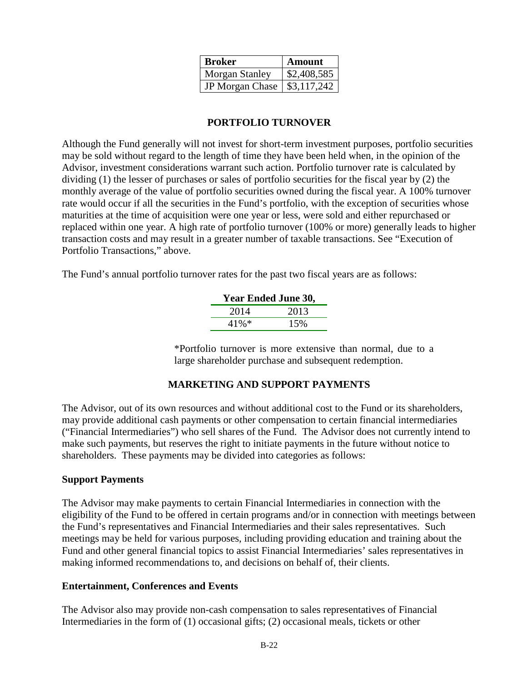| <b>Broker</b>         | Amount                    |
|-----------------------|---------------------------|
| <b>Morgan Stanley</b> | \$2,408,585               |
| JP Morgan Chase       | $\frac{1}{2}$ \$3,117,242 |

## **PORTFOLIO TURNOVER**

<span id="page-22-0"></span>Although the Fund generally will not invest for short-term investment purposes, portfolio securities may be sold without regard to the length of time they have been held when, in the opinion of the Advisor, investment considerations warrant such action. Portfolio turnover rate is calculated by dividing (1) the lesser of purchases or sales of portfolio securities for the fiscal year by (2) the monthly average of the value of portfolio securities owned during the fiscal year. A 100% turnover rate would occur if all the securities in the Fund's portfolio, with the exception of securities whose maturities at the time of acquisition were one year or less, were sold and either repurchased or replaced within one year. A high rate of portfolio turnover (100% or more) generally leads to higher transaction costs and may result in a greater number of taxable transactions. See "Execution of Portfolio Transactions," above.

The Fund's annual portfolio turnover rates for the past two fiscal years are as follows:

| <b>Year Ended June 30,</b> |      |
|----------------------------|------|
| 2014                       | 2013 |
| $41\%*$                    | 15%  |

\*Portfolio turnover is more extensive than normal, due to a large shareholder purchase and subsequent redemption.

## **MARKETING AND SUPPORT PAYMENTS**

<span id="page-22-1"></span>The Advisor, out of its own resources and without additional cost to the Fund or its shareholders, may provide additional cash payments or other compensation to certain financial intermediaries ("Financial Intermediaries") who sell shares of the Fund. The Advisor does not currently intend to make such payments, but reserves the right to initiate payments in the future without notice to shareholders. These payments may be divided into categories as follows:

#### **Support Payments**

The Advisor may make payments to certain Financial Intermediaries in connection with the eligibility of the Fund to be offered in certain programs and/or in connection with meetings between the Fund's representatives and Financial Intermediaries and their sales representatives. Such meetings may be held for various purposes, including providing education and training about the Fund and other general financial topics to assist Financial Intermediaries' sales representatives in making informed recommendations to, and decisions on behalf of, their clients.

#### **Entertainment, Conferences and Events**

The Advisor also may provide non-cash compensation to sales representatives of Financial Intermediaries in the form of (1) occasional gifts; (2) occasional meals, tickets or other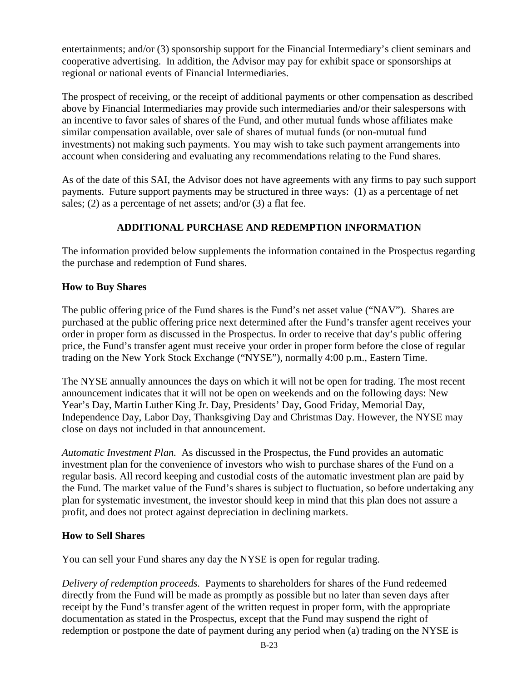entertainments; and/or (3) sponsorship support for the Financial Intermediary's client seminars and cooperative advertising. In addition, the Advisor may pay for exhibit space or sponsorships at regional or national events of Financial Intermediaries.

The prospect of receiving, or the receipt of additional payments or other compensation as described above by Financial Intermediaries may provide such intermediaries and/or their salespersons with an incentive to favor sales of shares of the Fund, and other mutual funds whose affiliates make similar compensation available, over sale of shares of mutual funds (or non-mutual fund investments) not making such payments. You may wish to take such payment arrangements into account when considering and evaluating any recommendations relating to the Fund shares.

As of the date of this SAI, the Advisor does not have agreements with any firms to pay such support payments. Future support payments may be structured in three ways: (1) as a percentage of net sales; (2) as a percentage of net assets; and/or (3) a flat fee.

# **ADDITIONAL PURCHASE AND REDEMPTION INFORMATION**

<span id="page-23-0"></span>The information provided below supplements the information contained in the Prospectus regarding the purchase and redemption of Fund shares.

## **How to Buy Shares**

The public offering price of the Fund shares is the Fund's net asset value ("NAV"). Shares are purchased at the public offering price next determined after the Fund's transfer agent receives your order in proper form as discussed in the Prospectus. In order to receive that day's public offering price, the Fund's transfer agent must receive your order in proper form before the close of regular trading on the New York Stock Exchange ("NYSE"), normally 4:00 p.m., Eastern Time.

The NYSE annually announces the days on which it will not be open for trading. The most recent announcement indicates that it will not be open on weekends and on the following days: New Year's Day, Martin Luther King Jr. Day, Presidents' Day, Good Friday, Memorial Day, Independence Day, Labor Day, Thanksgiving Day and Christmas Day. However, the NYSE may close on days not included in that announcement.

*Automatic Investment Plan.* As discussed in the Prospectus, the Fund provides an automatic investment plan for the convenience of investors who wish to purchase shares of the Fund on a regular basis. All record keeping and custodial costs of the automatic investment plan are paid by the Fund. The market value of the Fund's shares is subject to fluctuation, so before undertaking any plan for systematic investment, the investor should keep in mind that this plan does not assure a profit, and does not protect against depreciation in declining markets.

# **How to Sell Shares**

You can sell your Fund shares any day the NYSE is open for regular trading.

*Delivery of redemption proceeds.* Payments to shareholders for shares of the Fund redeemed directly from the Fund will be made as promptly as possible but no later than seven days after receipt by the Fund's transfer agent of the written request in proper form, with the appropriate documentation as stated in the Prospectus, except that the Fund may suspend the right of redemption or postpone the date of payment during any period when (a) trading on the NYSE is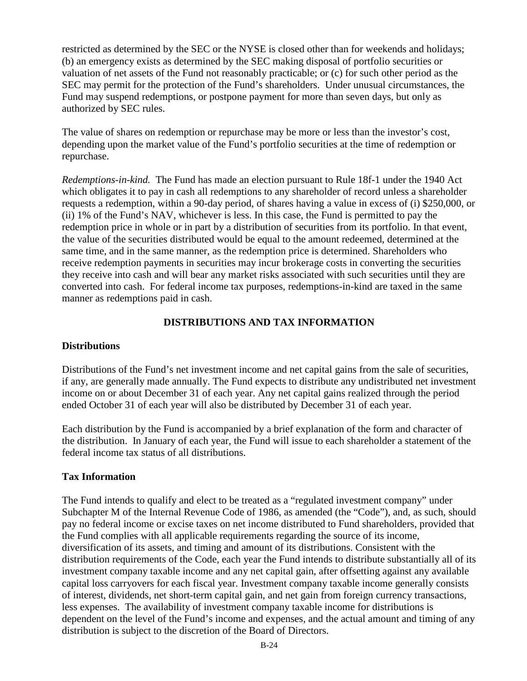restricted as determined by the SEC or the NYSE is closed other than for weekends and holidays; (b) an emergency exists as determined by the SEC making disposal of portfolio securities or valuation of net assets of the Fund not reasonably practicable; or (c) for such other period as the SEC may permit for the protection of the Fund's shareholders. Under unusual circumstances, the Fund may suspend redemptions, or postpone payment for more than seven days, but only as authorized by SEC rules.

The value of shares on redemption or repurchase may be more or less than the investor's cost, depending upon the market value of the Fund's portfolio securities at the time of redemption or repurchase.

*Redemptions-in-kind.* The Fund has made an election pursuant to Rule 18f-1 under the 1940 Act which obligates it to pay in cash all redemptions to any shareholder of record unless a shareholder requests a redemption, within a 90-day period, of shares having a value in excess of (i) \$250,000, or (ii) 1% of the Fund's NAV, whichever is less. In this case, the Fund is permitted to pay the redemption price in whole or in part by a distribution of securities from its portfolio. In that event, the value of the securities distributed would be equal to the amount redeemed, determined at the same time, and in the same manner, as the redemption price is determined. Shareholders who receive redemption payments in securities may incur brokerage costs in converting the securities they receive into cash and will bear any market risks associated with such securities until they are converted into cash. For federal income tax purposes, redemptions-in-kind are taxed in the same manner as redemptions paid in cash.

# **DISTRIBUTIONS AND TAX INFORMATION**

## <span id="page-24-0"></span>**Distributions**

Distributions of the Fund's net investment income and net capital gains from the sale of securities, if any, are generally made annually. The Fund expects to distribute any undistributed net investment income on or about December 31 of each year. Any net capital gains realized through the period ended October 31 of each year will also be distributed by December 31 of each year.

Each distribution by the Fund is accompanied by a brief explanation of the form and character of the distribution. In January of each year, the Fund will issue to each shareholder a statement of the federal income tax status of all distributions.

## **Tax Information**

The Fund intends to qualify and elect to be treated as a "regulated investment company" under Subchapter M of the Internal Revenue Code of 1986, as amended (the "Code"), and, as such, should pay no federal income or excise taxes on net income distributed to Fund shareholders, provided that the Fund complies with all applicable requirements regarding the source of its income, diversification of its assets, and timing and amount of its distributions. Consistent with the distribution requirements of the Code, each year the Fund intends to distribute substantially all of its investment company taxable income and any net capital gain, after offsetting against any available capital loss carryovers for each fiscal year. Investment company taxable income generally consists of interest, dividends, net short-term capital gain, and net gain from foreign currency transactions, less expenses. The availability of investment company taxable income for distributions is dependent on the level of the Fund's income and expenses, and the actual amount and timing of any distribution is subject to the discretion of the Board of Directors.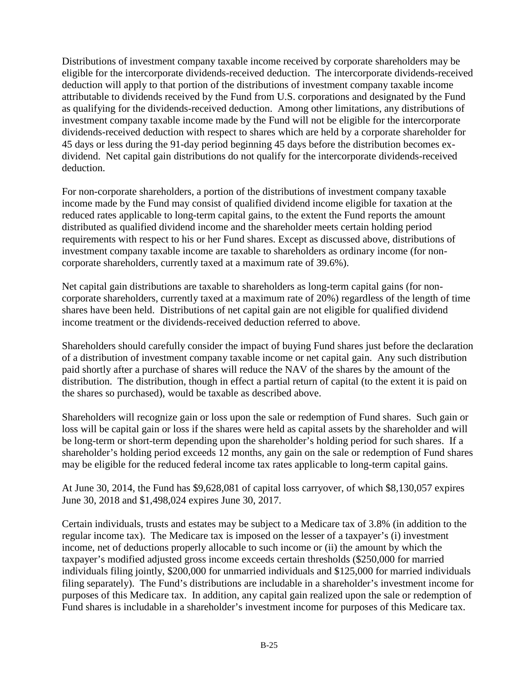Distributions of investment company taxable income received by corporate shareholders may be eligible for the intercorporate dividends-received deduction. The intercorporate dividends-received deduction will apply to that portion of the distributions of investment company taxable income attributable to dividends received by the Fund from U.S. corporations and designated by the Fund as qualifying for the dividends-received deduction. Among other limitations, any distributions of investment company taxable income made by the Fund will not be eligible for the intercorporate dividends-received deduction with respect to shares which are held by a corporate shareholder for 45 days or less during the 91-day period beginning 45 days before the distribution becomes exdividend. Net capital gain distributions do not qualify for the intercorporate dividends-received deduction.

For non-corporate shareholders, a portion of the distributions of investment company taxable income made by the Fund may consist of qualified dividend income eligible for taxation at the reduced rates applicable to long-term capital gains, to the extent the Fund reports the amount distributed as qualified dividend income and the shareholder meets certain holding period requirements with respect to his or her Fund shares. Except as discussed above, distributions of investment company taxable income are taxable to shareholders as ordinary income (for noncorporate shareholders, currently taxed at a maximum rate of 39.6%).

Net capital gain distributions are taxable to shareholders as long-term capital gains (for noncorporate shareholders, currently taxed at a maximum rate of 20%) regardless of the length of time shares have been held. Distributions of net capital gain are not eligible for qualified dividend income treatment or the dividends-received deduction referred to above.

Shareholders should carefully consider the impact of buying Fund shares just before the declaration of a distribution of investment company taxable income or net capital gain. Any such distribution paid shortly after a purchase of shares will reduce the NAV of the shares by the amount of the distribution. The distribution, though in effect a partial return of capital (to the extent it is paid on the shares so purchased), would be taxable as described above.

Shareholders will recognize gain or loss upon the sale or redemption of Fund shares. Such gain or loss will be capital gain or loss if the shares were held as capital assets by the shareholder and will be long-term or short-term depending upon the shareholder's holding period for such shares. If a shareholder's holding period exceeds 12 months, any gain on the sale or redemption of Fund shares may be eligible for the reduced federal income tax rates applicable to long-term capital gains.

At June 30, 2014, the Fund has \$9,628,081 of capital loss carryover, of which \$8,130,057 expires June 30, 2018 and \$1,498,024 expires June 30, 2017.

Certain individuals, trusts and estates may be subject to a Medicare tax of 3.8% (in addition to the regular income tax). The Medicare tax is imposed on the lesser of a taxpayer's (i) investment income, net of deductions properly allocable to such income or (ii) the amount by which the taxpayer's modified adjusted gross income exceeds certain thresholds (\$250,000 for married individuals filing jointly, \$200,000 for unmarried individuals and \$125,000 for married individuals filing separately). The Fund's distributions are includable in a shareholder's investment income for purposes of this Medicare tax. In addition, any capital gain realized upon the sale or redemption of Fund shares is includable in a shareholder's investment income for purposes of this Medicare tax.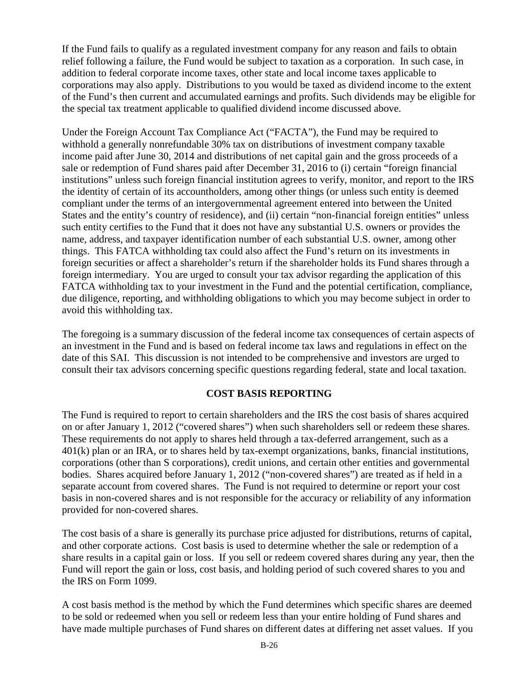If the Fund fails to qualify as a regulated investment company for any reason and fails to obtain relief following a failure, the Fund would be subject to taxation as a corporation. In such case, in addition to federal corporate income taxes, other state and local income taxes applicable to corporations may also apply. Distributions to you would be taxed as dividend income to the extent of the Fund's then current and accumulated earnings and profits. Such dividends may be eligible for the special tax treatment applicable to qualified dividend income discussed above.

Under the Foreign Account Tax Compliance Act ("FACTA"), the Fund may be required to withhold a generally nonrefundable 30% tax on distributions of investment company taxable income paid after June 30, 2014 and distributions of net capital gain and the gross proceeds of a sale or redemption of Fund shares paid after December 31, 2016 to (i) certain "foreign financial institutions" unless such foreign financial institution agrees to verify, monitor, and report to the IRS the identity of certain of its accountholders, among other things (or unless such entity is deemed compliant under the terms of an intergovernmental agreement entered into between the United States and the entity's country of residence), and (ii) certain "non-financial foreign entities" unless such entity certifies to the Fund that it does not have any substantial U.S. owners or provides the name, address, and taxpayer identification number of each substantial U.S. owner, among other things. This FATCA withholding tax could also affect the Fund's return on its investments in foreign securities or affect a shareholder's return if the shareholder holds its Fund shares through a foreign intermediary. You are urged to consult your tax advisor regarding the application of this FATCA withholding tax to your investment in the Fund and the potential certification, compliance, due diligence, reporting, and withholding obligations to which you may become subject in order to avoid this withholding tax.

The foregoing is a summary discussion of the federal income tax consequences of certain aspects of an investment in the Fund and is based on federal income tax laws and regulations in effect on the date of this SAI. This discussion is not intended to be comprehensive and investors are urged to consult their tax advisors concerning specific questions regarding federal, state and local taxation.

#### **COST BASIS REPORTING**

<span id="page-26-0"></span>The Fund is required to report to certain shareholders and the IRS the cost basis of shares acquired on or after January 1, 2012 ("covered shares") when such shareholders sell or redeem these shares. These requirements do not apply to shares held through a tax-deferred arrangement, such as a 401(k) plan or an IRA, or to shares held by tax-exempt organizations, banks, financial institutions, corporations (other than S corporations), credit unions, and certain other entities and governmental bodies. Shares acquired before January 1, 2012 ("non-covered shares") are treated as if held in a separate account from covered shares. The Fund is not required to determine or report your cost basis in non-covered shares and is not responsible for the accuracy or reliability of any information provided for non-covered shares.

The cost basis of a share is generally its purchase price adjusted for distributions, returns of capital, and other corporate actions. Cost basis is used to determine whether the sale or redemption of a share results in a capital gain or loss. If you sell or redeem covered shares during any year, then the Fund will report the gain or loss, cost basis, and holding period of such covered shares to you and the IRS on Form 1099.

A cost basis method is the method by which the Fund determines which specific shares are deemed to be sold or redeemed when you sell or redeem less than your entire holding of Fund shares and have made multiple purchases of Fund shares on different dates at differing net asset values. If you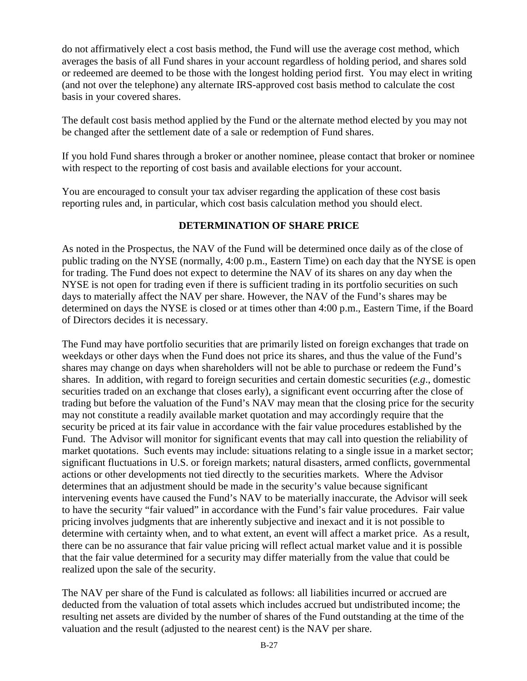do not affirmatively elect a cost basis method, the Fund will use the average cost method, which averages the basis of all Fund shares in your account regardless of holding period, and shares sold or redeemed are deemed to be those with the longest holding period first. You may elect in writing (and not over the telephone) any alternate IRS-approved cost basis method to calculate the cost basis in your covered shares.

The default cost basis method applied by the Fund or the alternate method elected by you may not be changed after the settlement date of a sale or redemption of Fund shares.

If you hold Fund shares through a broker or another nominee, please contact that broker or nominee with respect to the reporting of cost basis and available elections for your account.

You are encouraged to consult your tax adviser regarding the application of these cost basis reporting rules and, in particular, which cost basis calculation method you should elect.

#### **DETERMINATION OF SHARE PRICE**

<span id="page-27-0"></span>As noted in the Prospectus, the NAV of the Fund will be determined once daily as of the close of public trading on the NYSE (normally, 4:00 p.m., Eastern Time) on each day that the NYSE is open for trading. The Fund does not expect to determine the NAV of its shares on any day when the NYSE is not open for trading even if there is sufficient trading in its portfolio securities on such days to materially affect the NAV per share. However, the NAV of the Fund's shares may be determined on days the NYSE is closed or at times other than 4:00 p.m., Eastern Time, if the Board of Directors decides it is necessary.

The Fund may have portfolio securities that are primarily listed on foreign exchanges that trade on weekdays or other days when the Fund does not price its shares, and thus the value of the Fund's shares may change on days when shareholders will not be able to purchase or redeem the Fund's shares. In addition, with regard to foreign securities and certain domestic securities (*e.g*., domestic securities traded on an exchange that closes early), a significant event occurring after the close of trading but before the valuation of the Fund's NAV may mean that the closing price for the security may not constitute a readily available market quotation and may accordingly require that the security be priced at its fair value in accordance with the fair value procedures established by the Fund. The Advisor will monitor for significant events that may call into question the reliability of market quotations. Such events may include: situations relating to a single issue in a market sector; significant fluctuations in U.S. or foreign markets; natural disasters, armed conflicts, governmental actions or other developments not tied directly to the securities markets. Where the Advisor determines that an adjustment should be made in the security's value because significant intervening events have caused the Fund's NAV to be materially inaccurate, the Advisor will seek to have the security "fair valued" in accordance with the Fund's fair value procedures. Fair value pricing involves judgments that are inherently subjective and inexact and it is not possible to determine with certainty when, and to what extent, an event will affect a market price. As a result, there can be no assurance that fair value pricing will reflect actual market value and it is possible that the fair value determined for a security may differ materially from the value that could be realized upon the sale of the security.

The NAV per share of the Fund is calculated as follows: all liabilities incurred or accrued are deducted from the valuation of total assets which includes accrued but undistributed income; the resulting net assets are divided by the number of shares of the Fund outstanding at the time of the valuation and the result (adjusted to the nearest cent) is the NAV per share.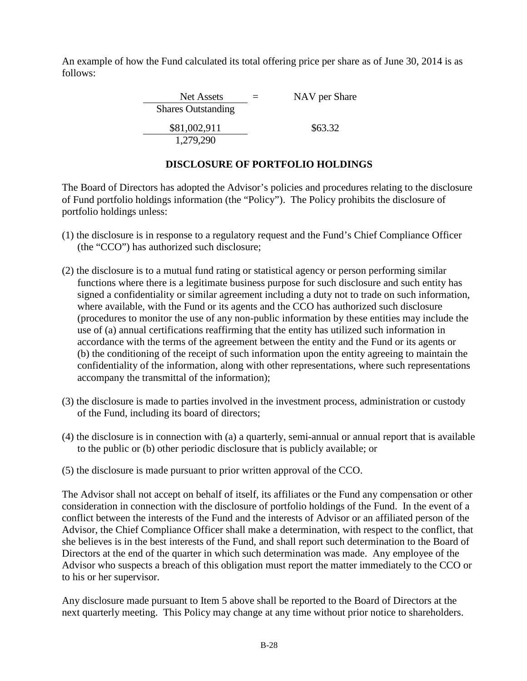An example of how the Fund calculated its total offering price per share as of June 30, 2014 is as follows:

> $Net Assets = NAV per Share$ Shares Outstanding \$81,002,911 \$63.32 1,279,290

# **DISCLOSURE OF PORTFOLIO HOLDINGS**

<span id="page-28-0"></span>The Board of Directors has adopted the Advisor's policies and procedures relating to the disclosure of Fund portfolio holdings information (the "Policy"). The Policy prohibits the disclosure of portfolio holdings unless:

- (1) the disclosure is in response to a regulatory request and the Fund's Chief Compliance Officer (the "CCO") has authorized such disclosure;
- (2) the disclosure is to a mutual fund rating or statistical agency or person performing similar functions where there is a legitimate business purpose for such disclosure and such entity has signed a confidentiality or similar agreement including a duty not to trade on such information, where available, with the Fund or its agents and the CCO has authorized such disclosure (procedures to monitor the use of any non-public information by these entities may include the use of (a) annual certifications reaffirming that the entity has utilized such information in accordance with the terms of the agreement between the entity and the Fund or its agents or (b) the conditioning of the receipt of such information upon the entity agreeing to maintain the confidentiality of the information, along with other representations, where such representations accompany the transmittal of the information);
- (3) the disclosure is made to parties involved in the investment process, administration or custody of the Fund, including its board of directors;
- (4) the disclosure is in connection with (a) a quarterly, semi-annual or annual report that is available to the public or (b) other periodic disclosure that is publicly available; or
- (5) the disclosure is made pursuant to prior written approval of the CCO.

The Advisor shall not accept on behalf of itself, its affiliates or the Fund any compensation or other consideration in connection with the disclosure of portfolio holdings of the Fund. In the event of a conflict between the interests of the Fund and the interests of Advisor or an affiliated person of the Advisor, the Chief Compliance Officer shall make a determination, with respect to the conflict, that she believes is in the best interests of the Fund, and shall report such determination to the Board of Directors at the end of the quarter in which such determination was made. Any employee of the Advisor who suspects a breach of this obligation must report the matter immediately to the CCO or to his or her supervisor.

Any disclosure made pursuant to Item 5 above shall be reported to the Board of Directors at the next quarterly meeting. This Policy may change at any time without prior notice to shareholders.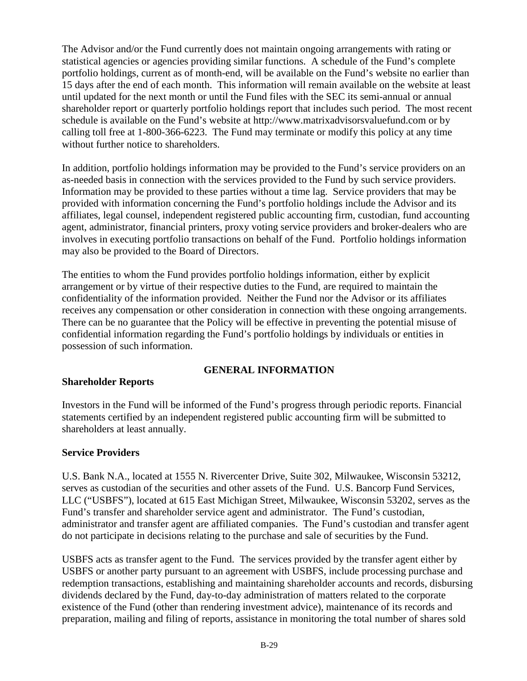The Advisor and/or the Fund currently does not maintain ongoing arrangements with rating or statistical agencies or agencies providing similar functions. A schedule of the Fund's complete portfolio holdings, current as of month-end, will be available on the Fund's website no earlier than 15 days after the end of each month. This information will remain available on the website at least until updated for the next month or until the Fund files with the SEC its semi-annual or annual shareholder report or quarterly portfolio holdings report that includes such period. The most recent schedule is available on the Fund's website at http://www.matrixadvisorsvaluefund.com or by calling toll free at 1-800-366-6223. The Fund may terminate or modify this policy at any time without further notice to shareholders.

In addition, portfolio holdings information may be provided to the Fund's service providers on an as-needed basis in connection with the services provided to the Fund by such service providers. Information may be provided to these parties without a time lag. Service providers that may be provided with information concerning the Fund's portfolio holdings include the Advisor and its affiliates, legal counsel, independent registered public accounting firm, custodian, fund accounting agent, administrator, financial printers, proxy voting service providers and broker-dealers who are involves in executing portfolio transactions on behalf of the Fund. Portfolio holdings information may also be provided to the Board of Directors.

The entities to whom the Fund provides portfolio holdings information, either by explicit arrangement or by virtue of their respective duties to the Fund, are required to maintain the confidentiality of the information provided. Neither the Fund nor the Advisor or its affiliates receives any compensation or other consideration in connection with these ongoing arrangements. There can be no guarantee that the Policy will be effective in preventing the potential misuse of confidential information regarding the Fund's portfolio holdings by individuals or entities in possession of such information.

## **GENERAL INFORMATION**

## <span id="page-29-0"></span>**Shareholder Reports**

Investors in the Fund will be informed of the Fund's progress through periodic reports. Financial statements certified by an independent registered public accounting firm will be submitted to shareholders at least annually.

## **Service Providers**

U.S. Bank N.A., located at 1555 N. Rivercenter Drive, Suite 302, Milwaukee, Wisconsin 53212, serves as custodian of the securities and other assets of the Fund. U.S. Bancorp Fund Services, LLC ("USBFS"), located at 615 East Michigan Street, Milwaukee, Wisconsin 53202, serves as the Fund's transfer and shareholder service agent and administrator. The Fund's custodian, administrator and transfer agent are affiliated companies. The Fund's custodian and transfer agent do not participate in decisions relating to the purchase and sale of securities by the Fund.

USBFS acts as transfer agent to the Fund. The services provided by the transfer agent either by USBFS or another party pursuant to an agreement with USBFS, include processing purchase and redemption transactions, establishing and maintaining shareholder accounts and records, disbursing dividends declared by the Fund, day-to-day administration of matters related to the corporate existence of the Fund (other than rendering investment advice), maintenance of its records and preparation, mailing and filing of reports, assistance in monitoring the total number of shares sold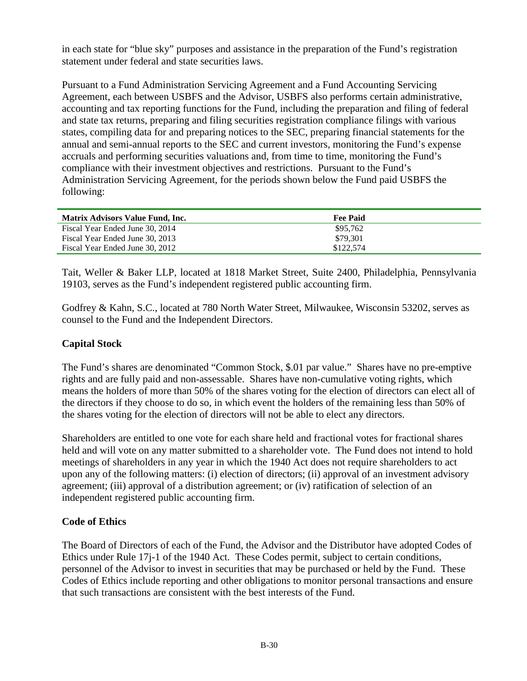in each state for "blue sky" purposes and assistance in the preparation of the Fund's registration statement under federal and state securities laws.

Pursuant to a Fund Administration Servicing Agreement and a Fund Accounting Servicing Agreement, each between USBFS and the Advisor, USBFS also performs certain administrative, accounting and tax reporting functions for the Fund, including the preparation and filing of federal and state tax returns, preparing and filing securities registration compliance filings with various states, compiling data for and preparing notices to the SEC, preparing financial statements for the annual and semi-annual reports to the SEC and current investors, monitoring the Fund's expense accruals and performing securities valuations and, from time to time, monitoring the Fund's compliance with their investment objectives and restrictions. Pursuant to the Fund's Administration Servicing Agreement, for the periods shown below the Fund paid USBFS the following:

| Matrix Advisors Value Fund, Inc. | <b>Fee Paid</b> |
|----------------------------------|-----------------|
| Fiscal Year Ended June 30, 2014  | \$95,762        |
| Fiscal Year Ended June 30, 2013  | \$79.301        |
| Fiscal Year Ended June 30, 2012  | \$122,574       |

Tait, Weller & Baker LLP, located at 1818 Market Street, Suite 2400, Philadelphia, Pennsylvania 19103, serves as the Fund's independent registered public accounting firm.

Godfrey & Kahn, S.C., located at 780 North Water Street, Milwaukee, Wisconsin 53202, serves as counsel to the Fund and the Independent Directors.

## **Capital Stock**

The Fund's shares are denominated "Common Stock, \$.01 par value." Shares have no pre-emptive rights and are fully paid and non-assessable. Shares have non-cumulative voting rights, which means the holders of more than 50% of the shares voting for the election of directors can elect all of the directors if they choose to do so, in which event the holders of the remaining less than 50% of the shares voting for the election of directors will not be able to elect any directors.

Shareholders are entitled to one vote for each share held and fractional votes for fractional shares held and will vote on any matter submitted to a shareholder vote. The Fund does not intend to hold meetings of shareholders in any year in which the 1940 Act does not require shareholders to act upon any of the following matters: (i) election of directors; (ii) approval of an investment advisory agreement; (iii) approval of a distribution agreement; or (iv) ratification of selection of an independent registered public accounting firm.

## **Code of Ethics**

The Board of Directors of each of the Fund, the Advisor and the Distributor have adopted Codes of Ethics under Rule 17j-1 of the 1940 Act. These Codes permit, subject to certain conditions, personnel of the Advisor to invest in securities that may be purchased or held by the Fund. These Codes of Ethics include reporting and other obligations to monitor personal transactions and ensure that such transactions are consistent with the best interests of the Fund.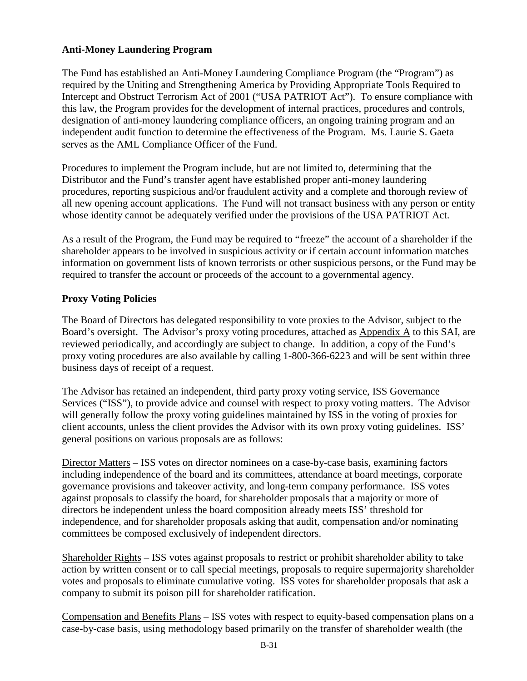# **Anti-Money Laundering Program**

The Fund has established an Anti-Money Laundering Compliance Program (the "Program") as required by the Uniting and Strengthening America by Providing Appropriate Tools Required to Intercept and Obstruct Terrorism Act of 2001 ("USA PATRIOT Act"). To ensure compliance with this law, the Program provides for the development of internal practices, procedures and controls, designation of anti-money laundering compliance officers, an ongoing training program and an independent audit function to determine the effectiveness of the Program. Ms. Laurie S. Gaeta serves as the AML Compliance Officer of the Fund.

Procedures to implement the Program include, but are not limited to, determining that the Distributor and the Fund's transfer agent have established proper anti-money laundering procedures, reporting suspicious and/or fraudulent activity and a complete and thorough review of all new opening account applications. The Fund will not transact business with any person or entity whose identity cannot be adequately verified under the provisions of the USA PATRIOT Act.

As a result of the Program, the Fund may be required to "freeze" the account of a shareholder if the shareholder appears to be involved in suspicious activity or if certain account information matches information on government lists of known terrorists or other suspicious persons, or the Fund may be required to transfer the account or proceeds of the account to a governmental agency.

## **Proxy Voting Policies**

The Board of Directors has delegated responsibility to vote proxies to the Advisor, subject to the Board's oversight. The Advisor's proxy voting procedures, attached as Appendix A to this SAI, are reviewed periodically, and accordingly are subject to change. In addition, a copy of the Fund's proxy voting procedures are also available by calling 1-800-366-6223 and will be sent within three business days of receipt of a request.

The Advisor has retained an independent, third party proxy voting service, ISS Governance Services ("ISS"), to provide advice and counsel with respect to proxy voting matters. The Advisor will generally follow the proxy voting guidelines maintained by ISS in the voting of proxies for client accounts, unless the client provides the Advisor with its own proxy voting guidelines. ISS' general positions on various proposals are as follows:

Director Matters – ISS votes on director nominees on a case-by-case basis, examining factors including independence of the board and its committees, attendance at board meetings, corporate governance provisions and takeover activity, and long-term company performance. ISS votes against proposals to classify the board, for shareholder proposals that a majority or more of directors be independent unless the board composition already meets ISS' threshold for independence, and for shareholder proposals asking that audit, compensation and/or nominating committees be composed exclusively of independent directors.

Shareholder Rights – ISS votes against proposals to restrict or prohibit shareholder ability to take action by written consent or to call special meetings, proposals to require supermajority shareholder votes and proposals to eliminate cumulative voting. ISS votes for shareholder proposals that ask a company to submit its poison pill for shareholder ratification.

Compensation and Benefits Plans – ISS votes with respect to equity-based compensation plans on a case-by-case basis, using methodology based primarily on the transfer of shareholder wealth (the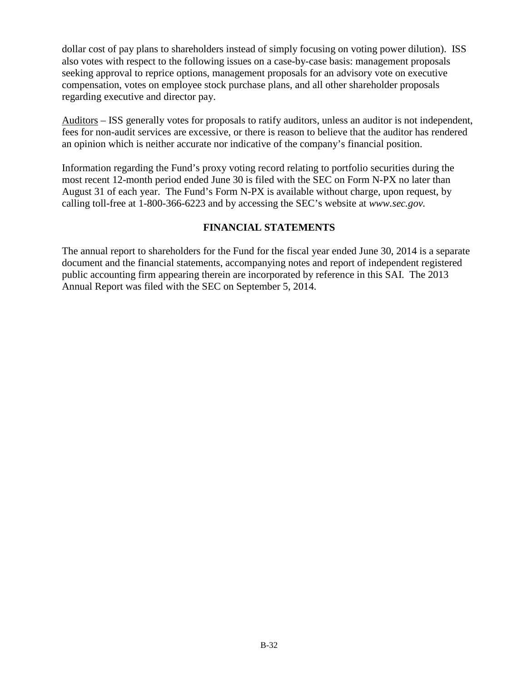dollar cost of pay plans to shareholders instead of simply focusing on voting power dilution). ISS also votes with respect to the following issues on a case-by-case basis: management proposals seeking approval to reprice options, management proposals for an advisory vote on executive compensation, votes on employee stock purchase plans, and all other shareholder proposals regarding executive and director pay.

Auditors – ISS generally votes for proposals to ratify auditors, unless an auditor is not independent, fees for non-audit services are excessive, or there is reason to believe that the auditor has rendered an opinion which is neither accurate nor indicative of the company's financial position.

Information regarding the Fund's proxy voting record relating to portfolio securities during the most recent 12-month period ended June 30 is filed with the SEC on Form N-PX no later than August 31 of each year. The Fund's Form N-PX is available without charge, upon request, by calling toll-free at 1-800-366-6223 and by accessing the SEC's website at *www.sec.gov.*

## **FINANCIAL STATEMENTS**

<span id="page-32-0"></span>The annual report to shareholders for the Fund for the fiscal year ended June 30, 2014 is a separate document and the financial statements, accompanying notes and report of independent registered public accounting firm appearing therein are incorporated by reference in this SAI. The 2013 Annual Report was filed with the SEC on September 5, 2014.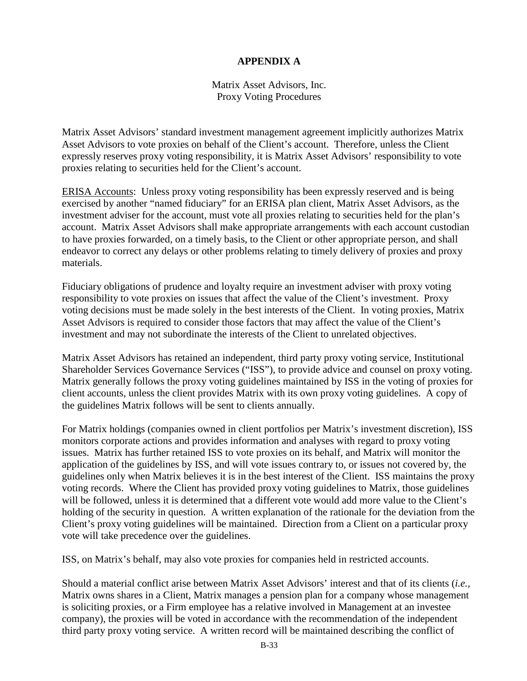# **APPENDIX A**

Matrix Asset Advisors, Inc. Proxy Voting Procedures

<span id="page-33-0"></span>Matrix Asset Advisors' standard investment management agreement implicitly authorizes Matrix Asset Advisors to vote proxies on behalf of the Client's account. Therefore, unless the Client expressly reserves proxy voting responsibility, it is Matrix Asset Advisors' responsibility to vote proxies relating to securities held for the Client's account.

ERISA Accounts: Unless proxy voting responsibility has been expressly reserved and is being exercised by another "named fiduciary" for an ERISA plan client, Matrix Asset Advisors, as the investment adviser for the account, must vote all proxies relating to securities held for the plan's account. Matrix Asset Advisors shall make appropriate arrangements with each account custodian to have proxies forwarded, on a timely basis, to the Client or other appropriate person, and shall endeavor to correct any delays or other problems relating to timely delivery of proxies and proxy materials.

Fiduciary obligations of prudence and loyalty require an investment adviser with proxy voting responsibility to vote proxies on issues that affect the value of the Client's investment. Proxy voting decisions must be made solely in the best interests of the Client. In voting proxies, Matrix Asset Advisors is required to consider those factors that may affect the value of the Client's investment and may not subordinate the interests of the Client to unrelated objectives.

Matrix Asset Advisors has retained an independent, third party proxy voting service, Institutional Shareholder Services Governance Services ("ISS"), to provide advice and counsel on proxy voting. Matrix generally follows the proxy voting guidelines maintained by ISS in the voting of proxies for client accounts, unless the client provides Matrix with its own proxy voting guidelines. A copy of the guidelines Matrix follows will be sent to clients annually.

For Matrix holdings (companies owned in client portfolios per Matrix's investment discretion), ISS monitors corporate actions and provides information and analyses with regard to proxy voting issues. Matrix has further retained ISS to vote proxies on its behalf, and Matrix will monitor the application of the guidelines by ISS, and will vote issues contrary to, or issues not covered by, the guidelines only when Matrix believes it is in the best interest of the Client. ISS maintains the proxy voting records. Where the Client has provided proxy voting guidelines to Matrix, those guidelines will be followed, unless it is determined that a different vote would add more value to the Client's holding of the security in question. A written explanation of the rationale for the deviation from the Client's proxy voting guidelines will be maintained. Direction from a Client on a particular proxy vote will take precedence over the guidelines.

ISS, on Matrix's behalf, may also vote proxies for companies held in restricted accounts.

Should a material conflict arise between Matrix Asset Advisors' interest and that of its clients (*i.e.,* Matrix owns shares in a Client, Matrix manages a pension plan for a company whose management is soliciting proxies, or a Firm employee has a relative involved in Management at an investee company), the proxies will be voted in accordance with the recommendation of the independent third party proxy voting service. A written record will be maintained describing the conflict of